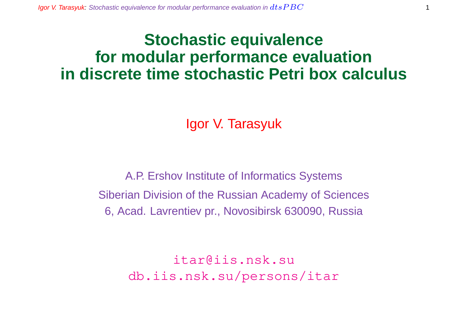## **Stochastic equivalence for modular performance evaluation in discrete time stochastic Petri box calculus**

Igor V. Tarasyuk

A.P. Ershov Institute of Informatics Systems Siberian Division of the Russian Academy of Sciences 6, Acad. Lavrentiev pr., Novosibirsk 630090, Russia

> itar@iis.nsk.su db.iis.nsk.su/persons/itar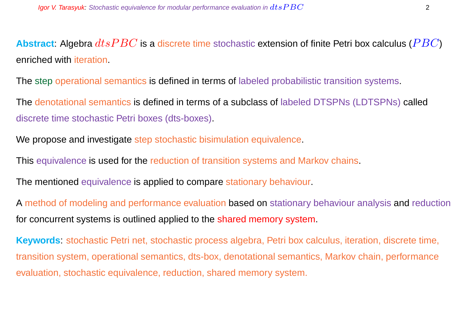**Abstract:** Algebra  $dtsPBC$  is a discrete time stochastic extension of finite Petri box calculus ( $PBC$ ) enriched with iteration.

The step operational semantics is defined in terms of labeled probabilistic transition systems.

The denotational semantics is defined in terms of a subclass of labeled DTSPNs (LDTSPNs) called discrete time stochastic Petri boxes (dts-boxes).

We propose and investigate step stochastic bisimulation equivalence.

This equivalence is used for the reduction of transition systems and Markov chains.

The mentioned equivalence is applied to compare stationary behaviour.

A method of modeling and performance evaluation based on stationary behaviour analysis and reduction for concurrent systems is outlined applied to the shared memory system.

**Keywords**: stochastic Petri net, stochastic process algebra, Petri box calculus, iteration, discrete time, transition system, operational semantics, dts-box, denotational semantics, Markov chain, performance evaluation, stochastic equivalence, reduction, shared memory system.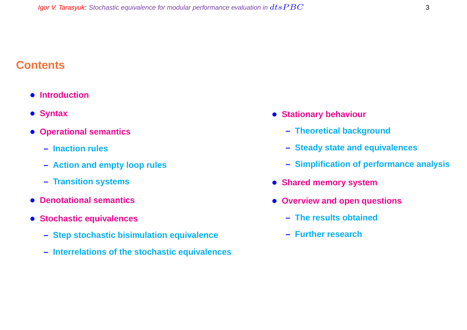#### **Contents**

- **Introduction**
- **Syntax**
- **Operational semantics**
	- **– Inaction rules**
	- **– Action and empty loop rules**
	- **– Transition systems**
- **Denotational semantics**
- **Stochastic equivalences**
	- **– Step stochastic bisimulation equivalence**
	- **– Interrelations of the stochastic equivalences**
- **Stationary behaviour**
	- **– Theoretical background**
	- **– Steady state and equivalences**
	- **– Simplification of performance analysis**
- **Shared memory system**
- **Overview and open questions**
	- **– The results obtained**
	- **– Further research**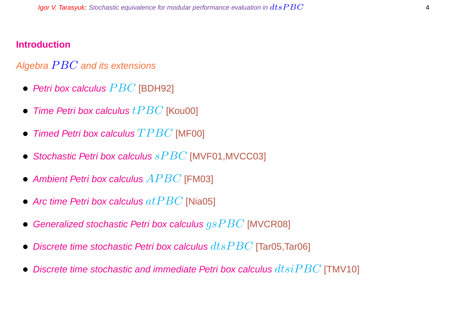#### **Introduction**

#### Algebra  $PBC$  and its extensions

- Petri box calculus  $PBC$  [BDH92]
- Time Petri box calculus  $tPBC$  [Kou00]
- Timed Petri box calculus  $TPBC$  [MF00]
- Stochastic Petri box calculus  $sPBC$  [MVF01, MVCC03]
- Ambient Petri box calculus  $APBC$  [FM03]
- Arc time Petri box calculus  $at PBC$  [Nia05]
- Generalized stochastic Petri box calculus  $gsPBC$  [MVCR08]
- Discrete time stochastic Petri box calculus  $dt$ s $PBC$  [Tar05,Tar06]
- Discrete time stochastic and immediate Petri box calculus  $dtsiPBC$  [TMV10]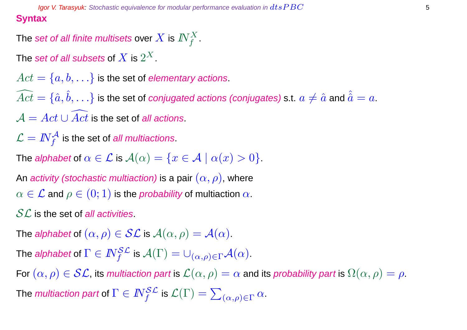**Igor V. Tarasyuk:** Stochastic equivalence for modular performance evaluation in  $dtsPBC$  555  $\sigma$  555  $\sigma$  555  $\sigma$  555  $\sigma$  555  $\sigma$  555  $\sigma$  655  $\sigma$  655  $\sigma$  655  $\sigma$  655  $\sigma$  655  $\sigma$  655  $\sigma$  655  $\sigma$  655  $\sigma$  655  $\sigma$ **Syntax**

The set of all finite multisets over  $X$  is  $I\!\!N_f^X.$ 

The  $\operatorname{\mathsf{set}}$  of all subsets of  $X$  is  $2^X.$ 

 $Act = \{a, b, \ldots\}$  is the set of elementary actions.  $\widehat{Act} = \{\hat a, \hat b, \ldots\}$  is the set of *conjugated actions (conjugates)* s.t.  $a\neq \hat a$  and  $\hat{\hat a}=a.$  $\mathcal{A} = Act \cup \overline{Act}$  is the set of all actions.

 $\mathcal{L} = \textit{IN}^{\mathcal{A}}_{f}$  is the set of *all multiactions*.

The alphabet of  $\alpha \in \mathcal{L}$  is  $\mathcal{A}(\alpha) = \{x \in \mathcal{A} \mid \alpha(x) > 0\}.$ 

An activity (stochastic multiaction) is a pair  $(\alpha, \rho)$ , where  $\alpha \in \mathcal{L}$  and  $\rho \in (0,1)$  is the *probability* of multiaction  $\alpha$ .

 $SL$  is the set of all activities.

The alphabet of  $(\alpha, \rho) \in \mathcal{SL}$  is  $\mathcal{A}(\alpha, \rho) = \mathcal{A}(\alpha)$ .

The *alphabet* of  $\Gamma \in I\!\!N_f^{\mathcal{SL}}$  is  $\mathcal{A}(\Gamma) = \cup_{(\alpha,\rho) \in \Gamma} \mathcal{A}(\alpha).$ 

For  $(\alpha, \rho) \in \mathcal{SL}$ , its multiaction part is  $\mathcal{L}(\alpha, \rho) = \alpha$  and its probability part is  $\Omega(\alpha, \rho) = \rho$ . The *multiaction part* of  $\Gamma \in I\!\!N_f^{\mathcal{SL}}$  is  $\mathcal{L}(\Gamma) = \sum_{(\alpha,\rho) \in \Gamma} \alpha.$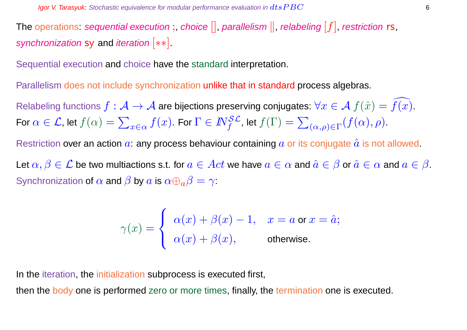The operations: sequential execution;, choice  $[]$ , parallelism  $||$ , relabeling  $[f]$ , restriction rs, synchronization sy and iteration [ $**$ ].

Sequential execution and choice have the standard interpretation.

Parallelism does not include synchronization unlike that in standard process algebras.

Relabeling functions  $f : \mathcal{A} \to \mathcal{A}$  are bijections preserving conjugates:  $\forall x \in \mathcal{A}$   $f(\hat{x}) = \overline{f(x)}$ . For  $\alpha \in \mathcal{L}$ , let  $f(\alpha) = \sum$  $\mathcal{L}_{x\in\alpha}\,f(x).$  For  $\Gamma\in I\!\!N_f^{\mathcal{SL}}$ , let  $f(\Gamma)=\sum\limits_{i,j\in\mathcal{N}_f}$  $_{(\alpha,\rho)\in\Gamma}(f(\alpha),\rho).$ 

Restriction over an action  $a$ : any process behaviour containing  $a$  or its conjugate  $\hat{a}$  is not allowed.

Let  $\alpha, \beta \in \mathcal{L}$  be two multiactions s.t. for  $a \in Act$  we have  $a \in \alpha$  and  $\hat{a} \in \beta$  or  $\hat{a} \in \alpha$  and  $a \in \beta$ . Synchronization of  $\alpha$  and  $\beta$  by  $\alpha$  is  $\alpha \oplus_{\alpha} \beta = \gamma$ :

$$
\gamma(x) = \begin{cases} \alpha(x) + \beta(x) - 1, & x = a \text{ or } x = \hat{a}; \\ \alpha(x) + \beta(x), & \text{otherwise}. \end{cases}
$$

In the iteration, the initialization subprocess is executed first,

then the body one is performed zero or more times, finally, the termination one is executed.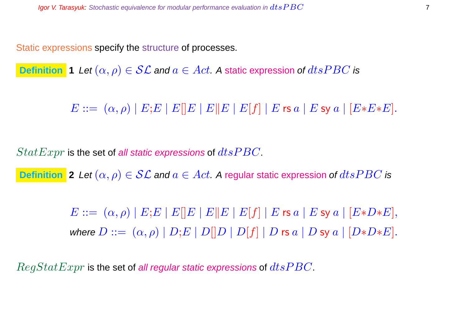Static expressions specify the structure of processes.

**Definition 1** Let  $(\alpha, \rho) \in \mathcal{SL}$  and  $a \in Act$ . A static expression of  $dtsPBC$  is

 $E ::= (\alpha, \rho) | E; E | E | E | E | E | E | E | f | E \text{ is a} | E \text{ sy a} | [E * E * E].$ 

 $StatExpr$  is the set of all static expressions of  $dtsPBC$ .

**Definition** 2 Let  $(\alpha, \rho) \in \mathcal{SL}$  and  $a \in Act$ . A regular static expression of  $dtsPBC$  is

 $E ::= (\alpha, \rho) | E; E | E | E | E | E | E | E | f | E \text{ is a} | E \text{ sy a} | [E * D * E],$ where  $D ::= (\alpha, \rho) | D; E | D[|D | D[|f] | D$  rs  $a | D$  sy  $a | [D*D*E].$ 

 $RegStatexpr$  is the set of all regular static expressions of  $dtsPBC$ .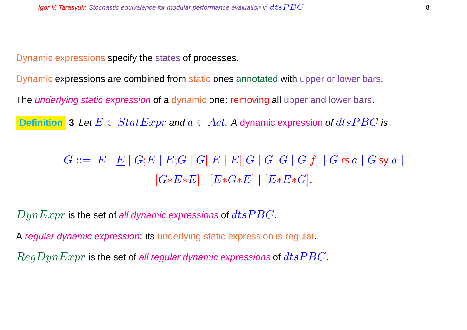Dynamic expressions specify the states of processes.

Dynamic expressions are combined from static ones annotated with upper or lower bars.

The *underlying static expression* of a dynamic one: removing all upper and lower bars.

**Definition** 3 Let  $E \in StatExpr$  and  $a \in Act$ . A dynamic expression of  $dtsPBC$  is

 $G ::= \overline{E} |E| |G;E| |E;G| |G||E| |E||G| |G||G| |G|f| |G$ rs  $a |G$  sy  $a |$  $[G*E*E] | [E*G*E] | [E*E*G].$ 

 $DynExpr$  is the set of all dynamic expressions of  $dtsPBC$ .

A regular dynamic expression: its underlying static expression is regular.

 $RegDynExpr$  is the set of all regular dynamic expressions of  $dtsPBC$ .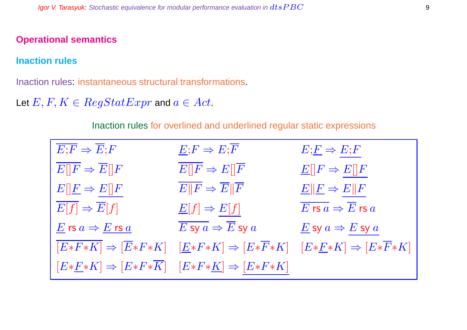#### **Operational semantics**

#### **Inaction rules**

Inaction rules: instantaneous structural transformations.

Let  $E, F, K \in RegStatExpr$  and  $a \in Act$ .

Inaction rules for overlined and underlined regular static expressions

| $\overline{E;F} \Rightarrow \overline{E};F$                                | $E; F \Rightarrow E; \overline{F}$                                                                                                                         | $E;\underline{F} \Rightarrow E;F$                                           |
|----------------------------------------------------------------------------|------------------------------------------------------------------------------------------------------------------------------------------------------------|-----------------------------------------------------------------------------|
| $\overline{E  F} \Rightarrow \overline{E  F}$                              | $E  F \Rightarrow E  \overline{F}$                                                                                                                         | $E[ F \Rightarrow E[]F$                                                     |
| $E[\underline{F} \Rightarrow E[\overline{F}]$                              | $\overline{E  F} \Rightarrow \overline{E  F}$                                                                                                              | $E  F \Rightarrow E  F$                                                     |
| $E[f] \Rightarrow \overline{E}[f]$                                         | $\underline{E}[f] \Rightarrow E[f]$                                                                                                                        | $\overline{E}$ rs $\overline{a} \Rightarrow \overline{E}$ rs $\overline{a}$ |
| $\underline{E}$ rs $a \Rightarrow \underline{E}$ rs $\underline{a}$        | $\overline{E}$ sy $a\Rightarrow \overline{E}$ sy $a$                                                                                                       | $E$ sy $a \Rightarrow E$ sy $a$                                             |
|                                                                            | $[E*F*K] \Rightarrow [\overline{E}*F*K] \quad [\underline{E}*F*K] \Rightarrow [E*\overline{F}*K] \quad [E*\underline{F}*K] \Rightarrow [E*\overline{F}*K]$ |                                                                             |
| $[E*E*K] \Rightarrow [E*F*\overline{K}] \quad [E*F*K] \Rightarrow [E*F*K]$ |                                                                                                                                                            |                                                                             |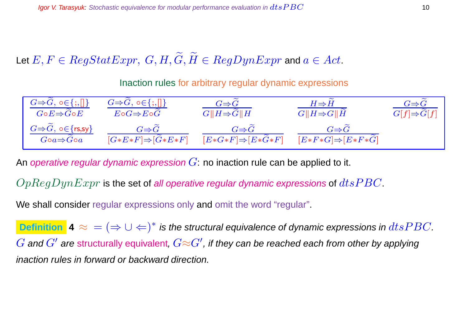Let  $E, F \in RegStatexpr$ ,  $G, H, \widetilde{G}, \widetilde{H} \in RegDynExpr$  and  $a \in Act$ .

Inaction rules for arbitrary regular dynamic expressions

| $G \Rightarrow G, \circ \in \{ ; , [] \}$                        | $G \Rightarrow G, \circ \in \{ ; , [] \}$                      | $G \Rightarrow G$                                           | $H\Rightarrow H$                                   | $G{\Rightarrow}G$       |
|------------------------------------------------------------------|----------------------------------------------------------------|-------------------------------------------------------------|----------------------------------------------------|-------------------------|
| $G\circ E \Rightarrow G\circ E$                                  | $E\circ G \Rightarrow E\circ G$                                | $G  H \Rightarrow G  H$                                     | $G  H \Rightarrow G  H$                            | $G[f] \Rightarrow G[f]$ |
| $G \Rightarrow G, \circ \in \{rs, sy\}$<br>$Goa \Rightarrow Goa$ | $G \Rightarrow G$<br>$[G*E*F] \Rightarrow [\widetilde{G}*E*F]$ | $G{\Rightarrow} G$<br>$E*G*F \Rightarrow E*\widetilde{G}*F$ | $G \Rightarrow G$<br>$[E*F*G] \Rightarrow [E*F*G]$ |                         |

An operative regular dynamic expression  $G$ : no inaction rule can be applied to it.

 $OpReqDynExpr$  is the set of all operative regular dynamic expressions of  $dts PBC$ .

We shall consider regular expressions only and omit the word "regular".

**Definition**  $\blacktriangle \approx$  =  $(\Rightarrow \cup \Leftarrow)^*$  is the structural equivalence of dynamic expressions in  $dtsPBC$ .  $G$  and  $G'$  are structurally equivalent,  $G{\approx}G'$ , if they can be reached each from other by applying inaction rules in forward or backward direction.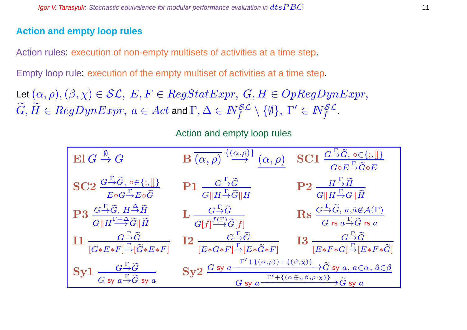#### **Action and empty loop rules**

Action rules: execution of non-empty multisets of activities at a time step.

Empty loop rule: execution of the empty multiset of activities at a time step.

Let  $(\alpha, \rho),(\beta, \chi) \in \mathcal{SL}, E, F \in RegStatexpr, G, H \in OpRegDynExpr,$  $G,\tilde H\in RegDynExpr,\ a\in Act$  and  $\Gamma,\Delta\in I\!\!N_f^{\mathcal{SL}}\setminus\{\emptyset\},\ \Gamma'\in I\!\!N_f^{\mathcal{SL}}.$ 

Action and empty loop rules

| $\operatorname{El} G \stackrel{\emptyset}{\to} G$                                                                                                                                     | $\mathbf{B}\xrightarrow[(\alpha,\rho) \xrightarrow{\{(\alpha,\rho)\}}(\alpha,\rho) \mathbf{SC1} \xrightarrow[G\circ E \xrightarrow[\text{G}\circ E \xrightarrow[\text{G} \circ E \xrightarrow[\text{G} \circ E \xrightarrow[\text{G} \circ E \xrightarrow[\text{G} \circ E \xrightarrow[\text{G} \circ E \xrightarrow[\text{G} \circ E \xrightarrow[\text{G} \circ E \xrightarrow[\text{G} \circ E \xrightarrow[\text{G} \circ E \xrightarrow[\text{G} \circ E \xrightarrow[\text{G} \circ E \xrightarrow[\text{G} \circ E \xrightarrow[\text{G} \circ E \xrightarrow[\text{G} \circ E \xrightarrow[\text{G} \circ E \$ |                                                                                                                                                                                              |
|---------------------------------------------------------------------------------------------------------------------------------------------------------------------------------------|-------------------------------------------------------------------------------------------------------------------------------------------------------------------------------------------------------------------------------------------------------------------------------------------------------------------------------------------------------------------------------------------------------------------------------------------------------------------------------------------------------------------------------------------------------------------------------------------------------------------------|----------------------------------------------------------------------------------------------------------------------------------------------------------------------------------------------|
| $SC2 \frac{G \rightarrow \widetilde{G}, o \in \{;,\}]}{E \circ G \rightarrow E \circ \widetilde{G}}$                                                                                  | $\textbf{P1}\;\frac{G\,\overset{\Gamma}{\rightarrow}\!\widetilde{G}}{\ H\,\overset{\Gamma}{\rightarrow}\!\widetilde{G}\ H}$                                                                                                                                                                                                                                                                                                                                                                                                                                                                                             | $\mathbf{P2}\;\frac{H\stackrel{\Gamma}{\rightarrow}\widetilde{H}}{G\ H\stackrel{\Gamma}{\rightarrow}G\ \widetilde{H}}$                                                                       |
| $\mathrm{P3}\ \frac{G\overset{\Gamma}{\rightarrow}\widetilde{G},\,H\overset{\Delta}{\rightarrow}\widetilde{H}}{G\ H\overset{\Gamma+\Delta}{\rightarrow}\widetilde{G}\ \widetilde{H}}$ | $\mathbf{L} \xrightarrow[G[f]^{\textstyle f(\Gamma)}\widetilde{G}[f]]{\textstyle\overbrace{\widetilde{G}[f]}}$                                                                                                                                                                                                                                                                                                                                                                                                                                                                                                          | $\operatorname{Rs} \frac{G \stackrel{\Gamma}{\rightarrow} \widetilde{G}, a, \hat{a} \notin \mathcal{A}(\Gamma)}{G \text{ rs } a \stackrel{\Gamma}{\rightarrow} \widetilde{G} \text{ rs } a}$ |
| $\label{eq:11} \mathbf{I1} \xrightarrow[{G*E*F}] {\xrightarrow{\Gamma}} {\widetilde{G}} \ {\xrightarrow{[G*E*F]}}$                                                                    | $\begin{array}{cc}\n\textbf{I2} & \xrightarrow{G \xrightarrow{\Gamma} \widetilde{G}} & \textbf{I3} & \xrightarrow{G \xrightarrow{\Gamma} \widetilde{G}}\\ \n\boxed{E * G * F]} \xrightarrow{\Gamma} [E * \widetilde{G} * F] & \xrightarrow{[E * F * G]} \boxed{E * F * G]}\n\end{array}$                                                                                                                                                                                                                                                                                                                                |                                                                                                                                                                                              |
| ${\rm Syl}\; \frac{G\stackrel{\Gamma}{\to}\!\widetilde G}{G\;{\rm sy}\;a\stackrel{\Gamma}{\to}\!\widetilde G\;{\rm sy}\;a}$                                                           | Sy2 $\frac{G \text{ sy } a \xrightarrow{\Gamma'+((\alpha,\rho)) + ((\beta,\chi))} \widetilde{G} \text{ sy } a, a \in \alpha, \hat{a} \in \beta}{G \text{ sy } a \xrightarrow{\Gamma' + ((\alpha \oplus a \beta, \rho \cdot \chi))} \widetilde{G} \text{ sy } a}$                                                                                                                                                                                                                                                                                                                                                        |                                                                                                                                                                                              |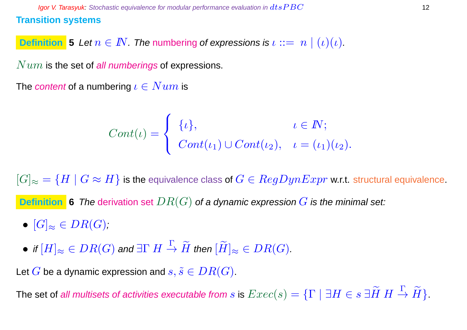**Definition 5** Let  $n \in \mathbb{N}$ . The numbering of expressions is  $\iota ::= n \mid (\iota)(\iota)$ .

 $Num$  is the set of all numberings of expressions.

The content of a numbering  $\iota \in Num$  is

$$
Cont(\iota) = \begin{cases} {\{\iota\}}, & \iota \in \mathbb{N}; \\ Cont(\iota_1) \cup Cont(\iota_2), & \iota = (\iota_1)(\iota_2). \end{cases}
$$

 $[G]_{\approx} = \{H \mid G \approx H\}$  is the equivalence class of  $G \in RegDynExpr$  w.r.t. structural equivalence.

**Definition** 6 The derivation set  $DR(G)$  of a dynamic expression  $G$  is the minimal set:

- $[G]_{\approx} \in DR(G)$ ;
- $\bullet$  if  $[H]_\approx \in DR(G)$  and  $\exists \Gamma~H\stackrel{\Gamma}{\to} \widetilde{H}$  then  $[\widetilde{H}]_\approx \in DR(G).$

Let G be a dynamic expression and  $s, \tilde{s} \in DR(G)$ .

The set of all multisets of activities executable from  $s$  is  $Exec(s)=\{\Gamma \mid \exists H\in s\ \exists \widetilde{H}\ H\stackrel{\Gamma}{\to} \widetilde{H}\}$ .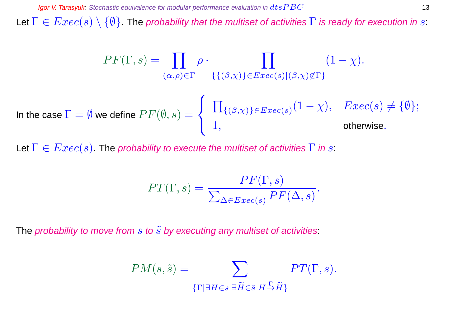Let  $\Gamma \in Excel(s) \setminus \{\emptyset\}$  The probability that the multiset of activities  $\Gamma$  is ready for execution in s:

$$
PF(\Gamma, s) = \prod_{(\alpha, \rho) \in \Gamma} \rho \cdot \prod_{\{ \{ (\beta, \chi) \} \in E \text{vec}(s) | (\beta, \chi) \notin \Gamma \}} (1 - \chi).
$$
  
In the case  $\Gamma = \emptyset$  we define  $PF(\emptyset, s) = \begin{cases} \prod_{\{ (\beta, \chi) \} \in E \text{vec}(s)} (1 - \chi), & E \text{vec}(s) \neq \{ \emptyset \}; \\ 1, & \text{otherwise.} \end{cases}$ 

Let  $\Gamma \in Excel(s)$ . The probability to execute the multiset of activities  $\Gamma$  in s:

$$
PT(\Gamma, s) = \frac{PF(\Gamma, s)}{\sum_{\Delta \in Excel(s)} PF(\Delta, s)}.
$$

The probability to move from  $s$  to  $\tilde{s}$  by executing any multiset of activities:

$$
PM(s, \tilde{s}) = \sum_{\{\Gamma \mid \exists H \in s \ \exists \tilde{H} \in \tilde{s} \ H \rightarrow \tilde{H}\}} PT(\Gamma, s).
$$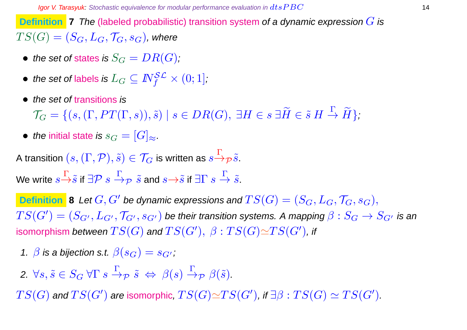**Definition 7** The (labeled probabilistic) transition system of a dynamic expression G is  $TS(G) = (S_G, L_G, \mathcal{T}_G, s_G)$ , where

- the set of states is  $S_G = DR(G)$ ;
- $\bullet \ \textit{ the set of labels is } L_G \subseteq I\!\!N_f^{\mathcal{SL}} \times (0;1],$
- the set of transitions is

 $\mathcal{T}_G = \{ (s, (\Gamma, PT(\Gamma,s)), \tilde{s}) \mid s \in DR(G), \ \exists H \in s \ \exists \tilde{H} \in \tilde{s} \ H \stackrel{\Gamma}{\to} \tilde{H} \},\$ 

• the initial state is  $s_G = [G]_{\approx}$ .

A transition  $(s,(\Gamma,\mathcal{P}),\tilde{s})\in\mathcal{T}_G$  is written as  $s{\displaystyle \mathop{\to}\limits^{\Gamma}}_{\mathcal{P}}\tilde{s}.$ 

We write  $s{\mathop{\to}\limits^{\Gamma}}\tilde s$  if  $\exists {\mathcal{P}}\;s{\mathop{\to}\limits^{\Gamma}}\gamma\;\tilde s$  and  $s{\mathop{\to}\limits^{\to}}\tilde s$  if  $\exists {\Gamma}\;s{\mathop{\to}\limits^{\Gamma}}\tilde s.$ 

**Definition 8** Let  $G, G'$  be dynamic expressions and  $TS(G) = (S_G, L_G, \mathcal{T}_G, s_G),$  $TS(G')=(S_{G'},L_{G'},\mathcal{T}_{G'},s_{G'})$  be their transition systems. A mapping  $\beta:S_G\to S_{G'}$  is an isomorphism *between*  $TS(G)$  *and*  $TS(G'), \ \beta : TS(G) {\simeq} TS(G'),$  *if* 

- 1.  $\beta$  is a bijection s.t.  $\beta(s_G) = s_{G'}$ ;
- 2.  $\forall s, \tilde{s} \in S_G \ \forall \Gamma \ s \stackrel{\Gamma}{\rightarrow} \mathcal{P} \ \tilde{s} \Leftrightarrow \ \beta(s) \stackrel{\Gamma}{\rightarrow} \mathcal{P} \ \beta(\tilde{s}).$

 $TS(G)$  and  $TS(G')$  are isomorphic,  $TS(G) {\simeq} TS(G')$ , if  $\exists \beta: TS(G) \simeq TS(G').$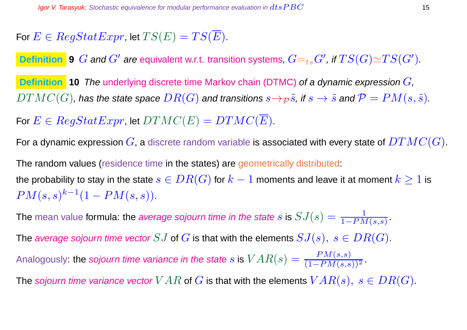For  $E \in RegStatExpr$ , let  $TS(E) = TS(\overline{E})$ .

**Definition 9** G and  $G'$  are equivalent w.r.t. transition systems,  $G=_{ts}G'$ , if  $TS(G) {\simeq} TS(G').$ 

**Definition 10** The underlying discrete time Markov chain (DTMC) of a dynamic expression  $G$ ,  $DTMC(G)$ , has the state space  $DR(G)$  and transitions  $s \rightarrow p \tilde{s}$ , if  $s \rightarrow \tilde{s}$  and  $\mathcal{P} = PM(s, \tilde{s})$ .

For  $E \in RegStatexpr$ , let  $DTMC(E) = DTMC(\overline{E})$ .

For a dynamic expression  $G$ , a discrete random variable is associated with every state of  $DTMC(G)$ .

The random values (residence time in the states) are geometrically distributed: the probability to stay in the state  $s \in DR(G)$  for  $k-1$  moments and leave it at moment  $k \geq 1$  is  $PM(s, s)^{k-1}(1 - PM(s, s)).$ 

The mean value formula: the average sojourn time in the state  $s$  is  $SJ(s)=\frac{1}{1-PN}$  $\frac{1}{1-PM(s,s)}$ 

The average sojourn time vector  $SJ$  of  $G$  is that with the elements  $SJ(s), s \in DR(G)$ .

Analogously: the sojourn time variance in the state  $s$  is  $VAR(s) = \frac{PM(s,s)}{(1-PM(s,s))^2}$  .

The sojourn time variance vector  $VAR$  of  $G$  is that with the elements  $VAR(s), s \in DR(G)$ .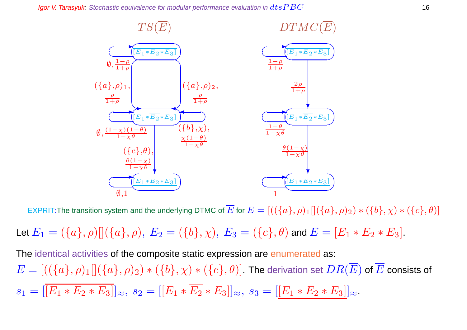**Igor V. Tarasyuk:** Stochastic equivalence for modular performance evaluation in  $dtsPBC$  16



EXPRIT:The transition system and the underlying DTMC of  $\overline{E}$  for  $E = [((\{a\}, \rho)_1][(\{a\}, \rho)_2) * (\{b\}, \chi) * (\{c\}, \theta)]$ 

Let  $E_1 = (\{a\}, \rho) [(\{a\}, \rho), E_2 = (\{b\}, \chi), E_3 = (\{c\}, \theta)$  and  $E = [E_1 * E_2 * E_3]$ .

The identical activities of the composite static expression are enumerated as:  $E=[((\{a\},\rho)_1][(\{a\},\rho)_2)*(\{b\},\chi)*(\{c\},\theta)]$ . The derivation set  $DR(\overline{E})$  of  $\overline{E}$  consists of  $s_1 = |\overline{[E_1 * E_2 * E_3]}|_{\approx}, s_2 = |[E_1 * \overline{E_2} * E_3]|_{\approx}, s_3 = |[E_1 * E_2 * E_3]|_{\approx}.$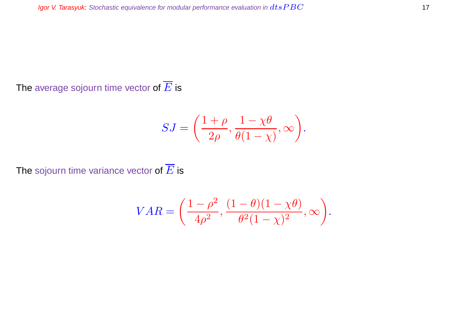The average sojourn time vector of  $\overline{E}$  is

$$
SJ = \left(\frac{1+\rho}{2\rho}, \frac{1-\chi\theta}{\theta(1-\chi)}, \infty\right).
$$

The sojourn time variance vector of  $\overline{E}$  is

$$
VAR = \left(\frac{1-\rho^2}{4\rho^2}, \frac{(1-\theta)(1-\chi\theta)}{\theta^2(1-\chi)^2}, \infty\right).
$$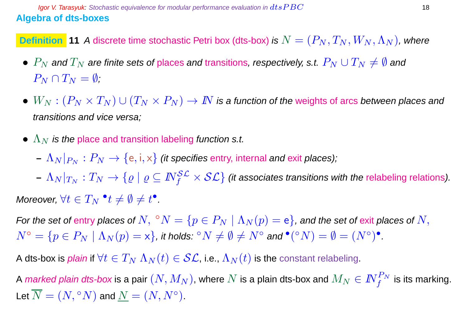**Definition** 11 A discrete time stochastic Petri box (dts-box) is  $N = (P_N, T_N, W_N, \Lambda_N)$ , where

- $P_N$  and  $T_N$  are finite sets of places and transitions, respectively, s.t.  $P_N \cup T_N \neq \emptyset$  and  $P_N \cap T_N = \emptyset$ :
- $W_N : (P_N \times T_N) \cup (T_N \times P_N) \to I\!\!N$  is a function of the weights of arcs between places and transitions and vice versa;
- $\Lambda_N$  is the place and transition labeling function s.t.
	- $(-|\Lambda_N|_{P_N}:P_N\to\{\text{e},\text{i},\text{x}\}\)$  *(it specifies entry, internal and exit places);*
- $-|\Lambda_N|_{T_N}:T_N\to\{ \varrho\mid\varrho\subseteq \mathit{N}_f^{\mathcal{SL}}\times\mathcal{SL}\}$  (it associates transitions with the relabeling relations). Moreover,  $\forall t \in T_N \;^\bullet t \neq \emptyset \neq t^\bullet$ .

For the set of entry places of  $N,~^{\circ}N=\{p\in P_N \mid \Lambda_N(p)=\mathsf{e}\}$ , and the set of exit places of  $N,$  $N^{\circ}=\{p\in P_N\mid \Lambda_N(p)=\mathsf{x}\},$  it holds:  ${}^{\circ}N\neq\emptyset\neq N^{\circ}$  and  ${}^{\bullet}({}^{\circ}N)=\emptyset=(N^{\circ})^{\bullet}.$ 

A dts-box is *plain* if  $\forall t \in T_N \Lambda_N(t) \in \mathcal{SL}$ , i.e.,  $\Lambda_N(t)$  is the constant relabeling.

A *marked plain dts-box* is a pair  $(N,M_N)$ , where  $N$  is a plain dts-box and  $M_N\in I\!\!N_f^{P_N}$  is its marking. Let  $\overline{N} = (N, {}^{\circ}N)$  and  $\underline{N} = (N, N^{\circ}).$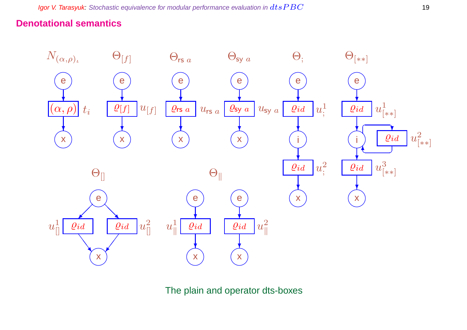#### **Denotational semantics**



The plain and operator dts-boxes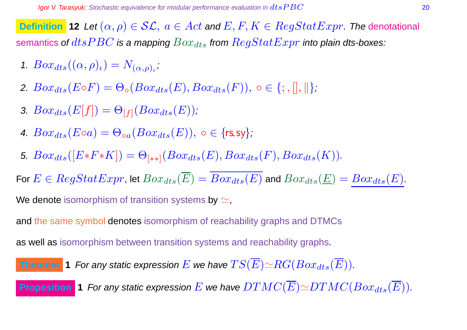**Definition 12** Let  $(\alpha, \rho) \in \mathcal{SL}$ ,  $a \in Act$  and  $E, F, K \in RegStatExpr$ . The denotational semantics of  $dtsPBC$  is a mapping  $Box_{dts}$  from  $RegStatExpr$  into plain dts-boxes:

- 1.  $Box_{dts}((\alpha, \rho)_\iota) = N_{(\alpha, \rho)_\iota}$
- 2.  $Box_{dts}(E \circ F) = \Theta_{\circ}(Box_{dts}(E), Box_{dts}(F)), \circ \in \{; , \|, \| \};$
- 3.  $Box_{dts}(E[f]) = \Theta_{[f]}(Box_{dts}(E));$
- 4.  $Box_{dts}(E \circ a) = \Theta_{oa}(Box_{dts}(E))$ ,  $\circ \in \{rs, sy\}$ ;
- 5.  $Box_{dts}([E*F*K]) = \Theta_{[**]}(Box_{dts}(E),Box_{dts}(F),Box_{dts}(K)).$

For  $E \in RegStatexpr$ , let  $Box_{dts}(\overline{E}) = \overline{Box_{dts}(E)}$  and  $Box_{dts}(\underline{E}) = Box_{dts}(E)$ .

We denote isomorphism of transition systems by  $\simeq$ ,

and the same symbol denotes isomorphism of reachability graphs and DTMCs

as well as isomorphism between transition systems and reachability graphs.

**Theorem 1** For any static expression 
$$
E
$$
 we have  $TS(\overline{E}) \simeq RG(Box_{dts}(\overline{E}))$ .

**Proposition 1** For any static expression E we have  $DTMC(\overline{E}) \simeq DTMC(Box_{dts}(\overline{E}))$ .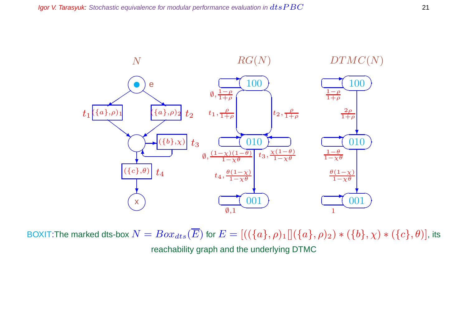

BOXIT:The marked dts-box  $N = Box_{dts}(\overline{E})$  for  $E = [((\{a\}, \rho)_1][(\{a\}, \rho)_2) * (\{b\}, \chi) * (\{c\}, \theta)]$ , its reachability graph and the underlying DTMC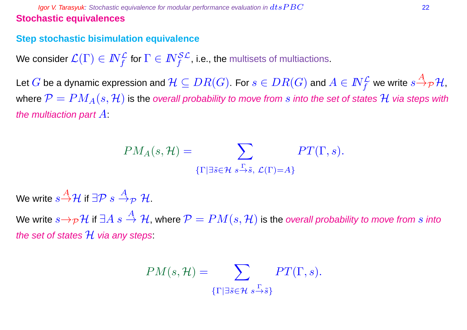#### **Igor V. Tarasyuk:** Stochastic equivalence for modular performance evaluation in  $dtsPBC$  22 **Stochastic equivalences**

#### **Step stochastic bisimulation equivalence**

We consider  $\mathcal{L}(\Gamma)\in I\!\!N_f^\mathcal{L}$  for  $\Gamma\in I\!\!N_f^{\mathcal{SL}}$ , i.e., the multisets of multiactions.

Let  $G$  be a dynamic expression and  $\mathcal{H}\subseteq DR(G).$  For  $s\in DR(G)$  and  $A\in I\!\!N_f^{\mathcal{L}}$  we write  $s{\overset{A}{\to}}_{\mathcal{P}}\mathcal{H},$ where  $\mathcal{P} = PM_A(s, \mathcal{H})$  is the overall probability to move from s into the set of states H via steps with the multiaction part  $A$ :

$$
PM_A(s, \mathcal{H}) = \sum_{\{\Gamma \mid \exists \tilde{s} \in \mathcal{H} \ s \stackrel{\Gamma}{\rightarrow} \tilde{s}, \ \mathcal{L}(\Gamma) = A\}} PT(\Gamma, s).
$$

We write  $s\overset{A}{\rightarrow}\mathcal{H}$  if ∃ $\mathcal{P}~s\overset{A}{\rightarrow}_{\mathcal{P}}~\mathcal{H}.$ 

We write  $s\rightarrow_{\mathcal{P}}\mathcal{H}$  if  $\exists A \ s \stackrel{A}{\rightarrow} \mathcal{H}$ , where  $\mathcal{P} = PM(s, \mathcal{H})$  is the overall probability to move from s into the set of states  $\mathcal H$  via any steps:

$$
PM(s, \mathcal{H}) = \sum_{\{\Gamma \mid \exists \tilde{s} \in \mathcal{H}} \ s \stackrel{\Gamma}{\rightarrow} \tilde{s}\}} PT(\Gamma, s).
$$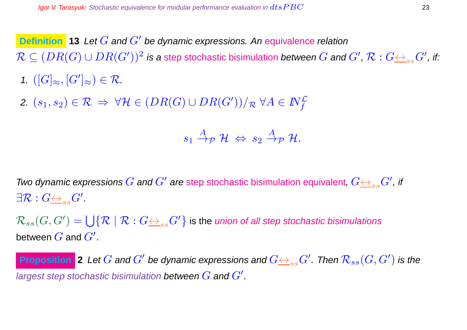**Definition** 13 Let G and G' be dynamic expressions. An equivalence relation  $\mathcal{R}\subseteq (DR(G)\cup DR(G'))^2$  is a step stochastic bisimulation *between*  $G$  *and*  $G'$ *,*  $\mathcal{R}:G {\iff_{ss}} G'$ *, if:* 1.  $([G]_{\approx}, [G']_{\approx}) \in \mathcal{R}$ .

2.  $(s_1,s_2)\in \mathcal{R} \ \Rightarrow \ \forall \mathcal{H} \in (DR(G) \cup DR(G'))/\mathcal{R} \ \forall A \in I\!\!N_f^\mathcal{L}$ 

$$
s_1 \stackrel{A}{\rightarrow} _{{\cal P}} {\cal H} \; \Leftrightarrow \; s_2 \stackrel{A}{\rightarrow} _{{\cal P}} {\cal H}.
$$

Two dynamic expressions  $G$  and  $G'$  are step stochastic bisimulation equivalent,  $G{\overline{\leftrightarrow}}_{ss}G'$  , if  $\exists \mathcal{R}: G {\underline{\leftrightarrow}}_{ss} G'.$ 

 $\mathcal{R}_{ss}(G, G') = \bigcup \{ \mathcal{R} \mid \mathcal{R} : G {\triangleq}_{ss} G' \}$  is the *union of all step stochastic bisimulations* between  $\overline{G}$  and  $\overline{G}^{\prime}.$ 

**Proposition** 2 Let  $G$  and  $G'$  be dynamic expressions and  $G{\leftrightarrow_{ss}}G'$  . Then  $\mathcal{R}_{ss}(G,G')$  is the largest step stochastic bisimulation between  $G$  and  $G^{\prime}.$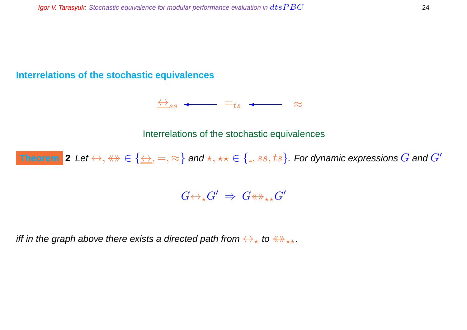#### **Interrelations of the stochastic equivalences**

 $\leftrightarrow$ <sub>ss</sub>  $\leftarrow$  =<sub>ts</sub>  $\leftarrow$  ≈

Interrelations of the stochastic equivalences

Theorem  $|$  2 Let  $\leftrightarrow$  ,  $\leftrightarrow$   $\in$   $\{\leftrightarrow,=,\approx\}$  and  $\star,$   $\star\star$   $\in$   $\{$  ,  $ss,ts\}$  . For dynamic expressions  $G$  and  $G'$ 

G↔⋆G ′ ⇒ G↔ ⋆⋆G ′

iff in the graph above there exists a directed path from  $\leftrightarrow_{\star}$  to  $\leftrightarrow_{\star\star}$ .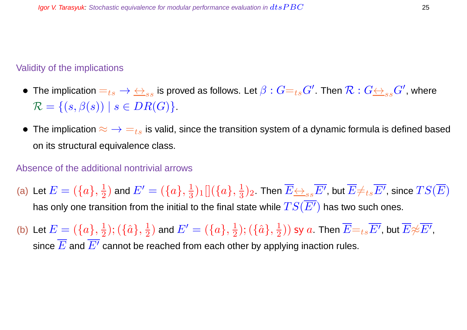#### Validity of the implications

- $\bullet\,$  The implication  $=_{ts}\to\,\iff_{ss}$  is proved as follows. Let  $\beta:G=_{ts}G'$  . Then  $\mathcal{R}:G\iff_{ss}G'$  , where  $\mathcal{R} = \{ (s, \beta(s)) \mid s \in DR(G) \}.$
- The implication  $\approx \rightarrow \equiv_{ts}$  is valid, since the transition system of a dynamic formula is defined based on its structural equivalence class.

#### Absence of the additional nontrivial arrows

- (a) Let  $E=(\{a\},\frac{1}{2})$  $(\frac{1}{2})$  and  $E'=(\{a\},\frac{1}{3})$  $\frac{1}{3})_1[](\{a\},\frac{1}{3}$  $(\frac{1}{3})_2$  . Then  $\overline{E{\leftrightarrow_{ss}E'}}$  , but  $\overline{E{\neq_{ts}E'}}$  , since  $TS(\overline{E})$ has only one transition from the initial to the final state while  $TS(\overline{E'})$  has two such ones.
- (b) Let  $E = (\{a\}, \frac{1}{2})$  $(\{\hat{a}\},\frac{1}{2})$  $(\frac{1}{2})$  and  $E'=(\{a\},\frac{1}{2})$  $(\{\hat a\},\frac{1}{2})$  $(\frac{1}{2}))$  sy  $a$ . Then  $\overline{E}\text{=}_{ts}\overline{E^{\prime}}$ , but  $\overline{E}\text{\Large $\not\approx$}\overline{E^{\prime}}$ , since  $\overline{E}$  and  $\overline{E'}$  cannot be reached from each other by applying inaction rules.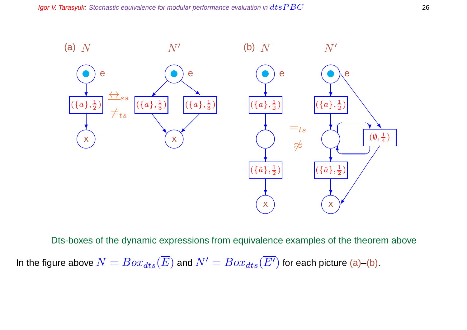

Dts-boxes of the dynamic expressions from equivalence examples of the theorem above In the figure above  $N = Box_{dts}(\overline{E})$  and  $N' = Box_{dts}(\overline{E'})$  for each picture (a)–(b).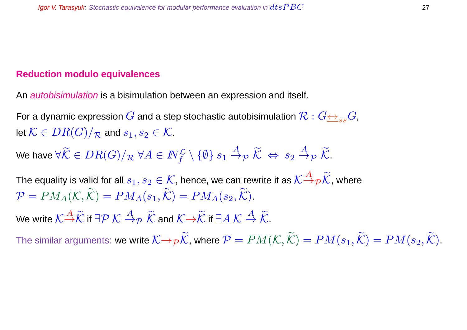#### **Reduction modulo equivalences**

An *autobisimulation* is a bisimulation between an expression and itself.

For a dynamic expression  $G$  and a step stochastic autobisimulation  $\mathcal{R}: G \leftrightarrow_{ss} G$ , let  $\mathcal{K} \in DR(G)/_{\mathcal{R}}$  and  $s_1, s_2 \in \mathcal{K}$ .

We have  $\forall \widetilde{\mathcal{K}}\in DR(G)/_{\mathcal{R}}\ \forall A\in I\!\!N_f^{\mathcal{L}}\setminus\{\emptyset\}\ s_1\stackrel{A}{\to}_{\mathcal{P}}\widetilde{\mathcal{K}}\ \Leftrightarrow\ s_2\stackrel{A}{\to}_{\mathcal{P}}\widetilde{\mathcal{K}}.$ 

The equality is valid for all  $s_1,s_2\in\mathcal{K}$ , hence, we can rewrite it as  $\mathcal{K} \! \stackrel{A}{\to} \! \rho \widetilde{\mathcal{K}}$ , where  $\mathcal{P} = PM_A(\mathcal{K}, \widetilde{\mathcal{K}}) = PM_A(s_1, \widetilde{\mathcal{K}}) = PM_A(s_2, \widetilde{\mathcal{K}}).$ 

We write  $\mathcal{K} \mathop{\to}^A \widetilde{\mathcal{K}}$  if  $\exists \mathcal{P} \ \mathcal{K} \stackrel{A}{\to}_\mathcal{P} \ \widetilde{\mathcal{K}}$  and  $\mathcal{K} \mathop{\to}^A \widetilde{\mathcal{K}}$  if  $\exists A \ \mathcal{K} \stackrel{A}{\to} \widetilde{\mathcal{K}}$ .

The similar arguments: we write  $K\rightarrow_{\mathcal{P}}\widetilde{\mathcal{K}}$ , where  $\mathcal{P}=PM(\mathcal{K},\widetilde{\mathcal{K}})=PM(s_1,\widetilde{\mathcal{K}})=PM(s_2,\widetilde{\mathcal{K}})$ .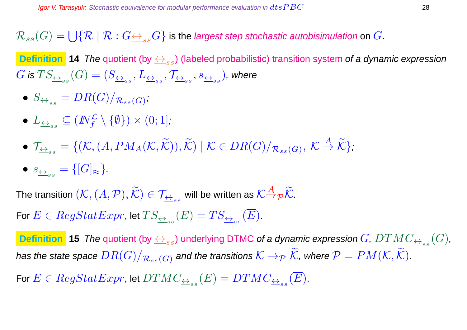$\mathcal{R}_{ss}(G)=\bigcup\{\mathcal{R}\mid \mathcal{R}: G {\iff}_{ss} G\}$  is the *largest step stochastic autobisimulation* on  $G.$ 

**Definition 14** The quotient (by  $\leftrightarrow_{ss}$ ) (labeled probabilistic) transition system of a dynamic expression  $G$  is  $TS_{\underline{\leftrightarrow}_{ss}}(G)=(S_{\underline{\leftrightarrow}_{ss}},L_{\underline{\leftrightarrow}_{ss}},\mathcal{T}_{\underline{\leftrightarrow}_{ss}},s_{\underline{\leftrightarrow}_{ss}})$ , where

- $\bullet \ \ S_{\underline{\leftrightarrow}_{ss}}=DR(G)/_{\mathcal{R}_{ss}(G)}.$
- $\bullet$   $L_{\overline{\leftrightarrow}_{ss}}\subseteq (I\!\!N_f^{\mathcal{L}}\setminus\{\emptyset\})\times (0;1],$
- $\bullet\, \mathcal{T}_{\underline{\leftrightarrow}_{ss}} = \{(\mathcal{K}, (A, PM_A(\mathcal{K}, \widetilde{\mathcal{K}})), \widetilde{\mathcal{K}})\mid \mathcal{K}\in DR(G)/_{\mathcal{R}_{ss}(G)},\, \mathcal{K}\stackrel{A}{\rightarrow}\widetilde{\mathcal{K}}\},$
- $s_{\underline{\leftrightarrow}_{ss}} = \{ [G]_{\approx} \}.$

The transition  $(\mathcal{K},(A,\mathcal{P}),\widetilde{\mathcal{K}})\in\mathcal{T}_{\overline{\leftrightarrow}_{ss}}$  will be written as  $\mathcal{K}{\overset{A}{\to}}_{{\mathcal{P}}}\widetilde{\mathcal{K}}.$ For  $E \in RegStatexpr$ , let  $TS_{\overrightarrow{\leftrightarrow}_{ss}}(E)=TS_{\overrightarrow{\leftrightarrow}_{ss}}(E).$ 

 $\overline{\textbf{Definition}}$   $\textbf{15}$   $\textbf{The quotient (by } \underline{\leftrightarrow}_{ss})$  underlying DTMC of a dynamic expression  $G$ ,  $DTMC_{\underline{\leftrightarrow}_{ss}}(G)$ , has the state space  $DR(G)/_{\mathcal{R}_{ss}(G)}$  and the transitions  $\mathcal{K}\to_{\mathcal{P}}\widetilde{\mathcal{K}}$ , where  $\mathcal{P}=PM(\mathcal{K},\widetilde{\mathcal{K}})$ .

For  $E \in RegStatexpr$ , let  $DTMC_{\overrightarrow{\leftrightarrow}_{ss}}(E)=DTMC_{\overrightarrow{\leftrightarrow}_{ss}}(E).$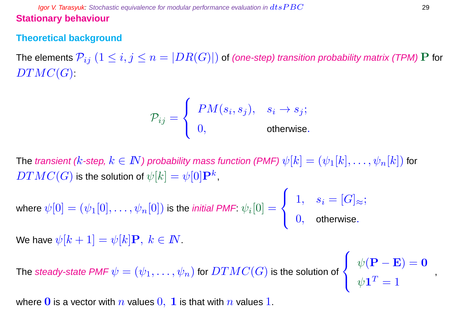**Igor V. Tarasyuk:** Stochastic equivalence for modular performance evaluation in  $dtsPBC$  29 **Stationary behaviour**

#### **Theoretical background**

The elements  $\mathcal{P}_{ij}$   $(1 \leq i,j \leq n = |DR(G)|)$  of (one-step) transition probability matrix (TPM) P for  $DTMC(G)$ :

$$
\mathcal{P}_{ij} = \begin{cases} PM(s_i, s_j), & s_i \to s_j; \\ 0, & \text{otherwise.} \end{cases}
$$

The transient (k-step,  $k \in I\!\!N$ ) probability mass function (PMF)  $\psi[k]=(\psi_1[k],\ldots,\psi_n[k])$  for  $DTMC(G)$  is the solution of  $\psi[k] = \psi[0]\mathbf{P}^k,$ 

where  $\psi[0]=(\psi_1[0],\ldots,\psi_n[0])$  is the *initial PMF*:  $\psi_i[0]=$  $\sqrt{ }$  $\overline{ }$  $\overline{\mathbf{1}}$  $1, \quad s_i = [G]_{\approx};$  $0,$  otherwise.

We have  $\psi[k+1] = \psi[k]\mathbf{P}, k \in \mathbb{N}$ .

The *steady-state PMF*  $\psi=(\psi_1,\ldots,\psi_n)$  *for*  $DTMC(G)$  *is the solution of*  $\frac{1}{2}$ 

 $\sqrt{ }$  $\overline{\mathcal{L}}$  $\psi(\mathbf{P}-\mathbf{E})=\mathbf{0}$  $\psi\mathbf{1}^T=1$ 

,

where 0 is a vector with n values  $0, 1$  is that with n values 1.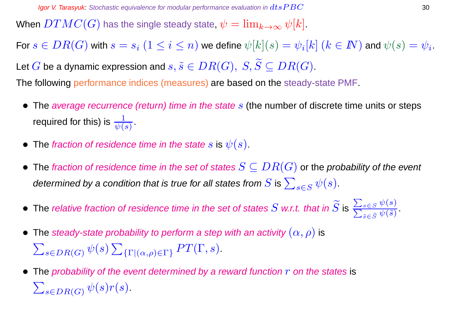When  $DTMC(G)$  has the single steady state,  $\psi = \lim_{k \to \infty} \psi[k]$ .

For  $s\in DR(G)$  with  $s=s_i\;(1\leq i\leq n)$  we define  $\psi[k](s)=\psi_i[k]$   $(k\in I\!\!N)$  and  $\psi(s)=\psi_i.$ Let G be a dynamic expression and  $s, \tilde{s} \in DR(G), S, \widetilde{S} \subseteq DR(G)$ .

The following performance indices (measures) are based on the steady-state PMF.

- The average recurrence (return) time in the state  $s$  (the number of discrete time units or steps required for this) is  $\frac{1}{\psi(s)}$  .
- The fraction of residence time in the state s is  $\psi(s)$ .
- The fraction of residence time in the set of states  $S \subseteq DR(G)$  or the probability of the event determined by a condition that is true for all states from  $S$  is  $\sum_{s\in S} \psi(s).$
- $\bullet\,$  The relative fraction of residence time in the set of states  $S$  w.r.t. that in  $S$  is  $\overline{\phantom{0}}$ P  $s \in S$   $\psi(s)$  $_{\tilde{s}\in \widetilde{S}}\psi (\tilde{s})$
- The steady-state probability to perform a step with an activity  $(\alpha, \rho)$  is  $\sum_{s \in DR(G)} \psi(s) \sum_{\{\Gamma \mid (\alpha,\rho) \in \Gamma\}} PT(\Gamma, s).$
- The probability of the event determined by a reward function  $r$  on the states is  $\sum_{s \in DR(G)} \psi(s) r(s)$ .

.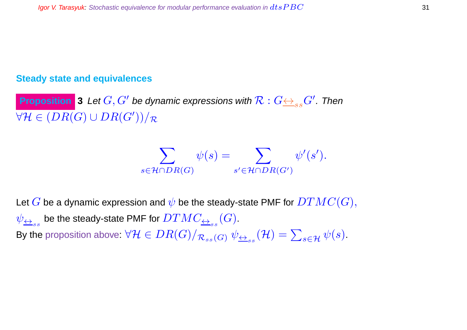#### **Steady state and equivalences**

**Proposition** 3 Let  $G, G'$  be dynamic expressions with  $\mathcal{R}: G {\leftrightarrow_{ss} G'}.$  Then  $\forall \mathcal{H} \in (DR(G) \cup DR(G'))/\mathcal{R}$ 

$$
\sum_{s \in \mathcal{H} \cap DR(G)} \psi(s) = \sum_{s' \in \mathcal{H} \cap DR(G')} \psi'(s').
$$

Let G be a dynamic expression and  $\psi$  be the steady-state PMF for  $DTMC(G),$  $\psi_{\overline{\leftrightarrow}_{ss}}$  be the steady-state PMF for  $DTMC_{\overline{\leftrightarrow}_{ss}}(G).$ By the proposition above:  $\forall \mathcal{H}\in DR(G)/_{\mathcal{R}_{ss}(G)}\ \psi_{\underline{\leftrightarrow}_{ss}}(\mathcal{H})=\sum_{s\in\mathcal{H}}\psi(s).$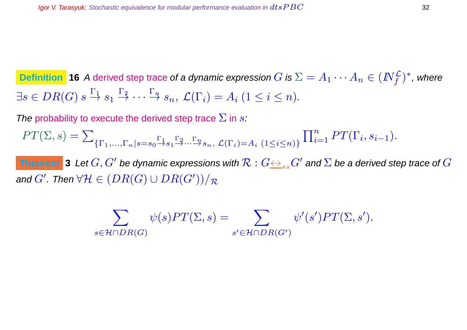$\textsf{Definition}~$  **16** A derived step trace of a dynamic expression  $G$  is  $\Sigma = A_1 \cdots A_n \in (I\!\!N_f^{\mathcal{L}})^*$ , where  $\exists s \in DR(G) \ s \stackrel{\Gamma_1}{\rightarrow} s_1 \stackrel{\Gamma_2}{\rightarrow} \cdots \stackrel{\Gamma_n}{\rightarrow} s_n, \ \mathcal{L}(\Gamma_i) = A_i \ (1 \leq i \leq n).$ 

The probability to execute the derived step trace  $\Sigma$  in s:

 $PT(\Sigma, s) = \sum$  $\{\Gamma_1,...,\Gamma_n|s=s_0 \rightarrow s_1 \rightarrow \cdots \rightarrow s_n, \mathcal{L}(\Gamma_i)=A_i \ (1 \leq i \leq n)\}$  $\prod_{i=1}^n PT(\Gamma_i, s_{i-1}).$ 

Theorem  $\,$  **3**  $\,$  Let  $G, G'$  be dynamic expressions with  $\mathcal{R}: G {\leftrightarrow_{ss} G'}$  and  $\Sigma$  be a derived step trace of  $G$ and  $G'$  . Then  $\forall \mathcal{H} \in (DR(G) \cup DR(G'))/\mathcal{R}$ 

$$
\sum_{s \in \mathcal{H} \cap DR(G)} \psi(s) PT(\Sigma, s) = \sum_{s' \in \mathcal{H} \cap DR(G')} \psi'(s') PT(\Sigma, s').
$$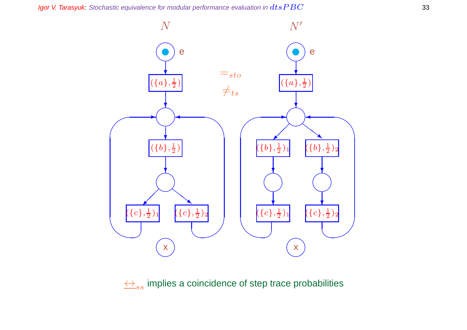Igor V. Tarasyuk: Stochastic equivalence for modular performance evaluation in  $dtsPBC$  33



 $\leftrightarrow$ <sub>ss</sub> implies a coincidence of step trace probabilities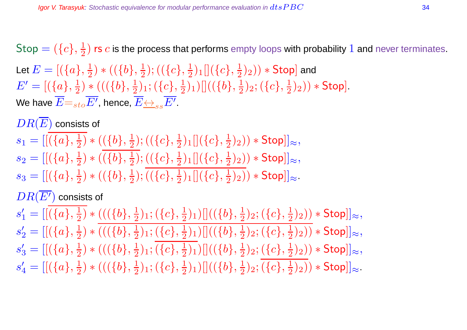$\mathsf{Stop} = (\{c\}, \frac{1}{2})$  $\frac{1}{2})$  rs  $c$  is the process that performs empty loops with probability  $1$  and never terminates. Let  $E=[(\{a\},\frac{1}{2}$  $(\frac{1}{2})\ast ((\{b\},\frac{1}{2}% ,\{b\},\mathbf{e})\ast ((\{b\},\mathbf{e})\ast (\mathbf{e})\ast (\mathbf{e})\ast (\mathbf{e})\ast (\mathbf{e})\ast ((\{b\},\mathbf{e})\ast (\mathbf{e})\ast (\mathbf{e})\ast (\mathbf{e})\ast (\mathbf{e})\ast ((\{b\},\mathbf{e})\ast (\mathbf{e})\ast (\mathbf{e})\ast (\mathbf{e})\ast ((\{b\},\mathbf{e})\ast (\mathbf{e})\ast (\mathbf{e})\ast ((\{b\},\mathbf{e})\ast (\mathbf{e})\ast (\math$  $(\{\overline{c}\},\frac{1}{2})$  $\frac{1}{2})_1[](\{c\},\frac{1}{2})$  $(\frac{1}{2})_2)) *$  Stop] and  $E' = [(\{a\}, \frac{1}{2})]$  $(\{\{b\},\frac{1}{2}\})$  \*  $((\{b\},\frac{1}{2})$  $(\{c\},\frac{1}{2})$ 1;  $(\{c\},\frac{1}{2})$  $\frac{1}{2})_1) []( (\{b\},\frac{1}{2}$  $(\{c\},\frac{1}{2})$ 2;  $(\{c\},\frac{1}{2})$  $(\frac{1}{2})_2$ )  $*$  Stop]. We have  $\overline{E}{=}_{sto}\overline{E'},$  hence,  $\overline{E}{\leftrightarrow}_{ss}\overline{E'}.$ 

 $DR(\overline{E})$  consists of

 $s_1 = [[(\{a\}, \frac{1}{2}$  $(\frac{1}{2}) * ((\{b\},\frac{1}{2})$  $(\{\overline{c}\},\frac{1}{2})$  $\frac{1}{2})_1[](\{c\},\frac{1}{2}$  $(\frac{1}{2})_2)) * \mathsf{Stop}]]_{\approx},$  $s_2 = [[(\{a\}, \frac{1}{2}$  $(\{b\},\frac{1}{2})$   $\ast$   $((\{b\},\frac{1}{2})$  $(\{\overline{c}\},\frac{1}{2})$  $\frac{1}{2})_1[](\{c\},\frac{1}{2}$  $(\frac{1}{2})_2)) * \mathsf{Stop}]]_{\approx},$  $s_3 = [[(\{a\}, \frac{1}{2}$  $(\{b\},\frac{1}{2})$   $\ast$   $((\{b\},\frac{1}{2})$  $(\{\overline{c}\},\frac{1}{2})$  $\frac{1}{2})_1[](\{c\},\frac{1}{2}$  $(\frac{1}{2})_2$ )  $\ast$  Stop]] $\approx$ .

### $DR(\overline{E'})$  consists of

 $s'_1 = [[(\{a\}, \frac{1}{2}$  $(\{\{b\},\frac{1}{2}\})$  \*  $((\{b\},\frac{1}{2})$  $(\c), \frac{1}{2})$ 1;  $(\{c\}, \frac{1}{2})$  $\frac{1}{2})_1) [ ] ((\{b\},\frac{1}{2}$  $(\{c\},\frac{1}{2})$ 2;  $(\{c\},\frac{1}{2})$  $(\frac{1}{2})_2)) * \mathsf{Stop}]]_{\approx},$  $s'_2 = [[(\{a\}, \frac{1}{2}$  $(\{\{b\},\frac{1}{2}\})$  \*  $((\{b\},\frac{1}{2})$  $(\{c\},\frac{1}{2})$ 1;  $(\{c\},\frac{1}{2})$  $\frac{1}{2})_1) []( (\{b\},\frac{1}{2}$  $(\{c\},\frac{1}{2})$ 2;  $(\{c\},\frac{1}{2})$  $(\frac{1}{2})_2)) * \mathsf{Stop}]]_{\approx},$  $s'_3 = [[(\{a\}, \frac{1}{2}$  $(\{\{b\},\frac{1}{2}\})$  \*  $((\{b\},\frac{1}{2})$  $(\c), \frac{1}{2})$ 1;  $(\{c\}, \frac{1}{2})$  $\frac{1}{2})_1) []( (\{b\},\frac{1}{2}$  $(\{c\},\frac{1}{2})$ 2;  $(\{c\},\frac{1}{2})$  $(\frac{1}{2})_2)) * \mathsf{Stop}]]_{\approx},$  $s'_4= [[(\{a\}, \frac{1}{2}$  $(\{\{b\},\frac{1}{2}\})$  \*  $((\{b\},\frac{1}{2})$  $(\c), \frac{1}{2})$ 1;  $(\{c\}, \frac{1}{2})$  $\frac{1}{2})_1) [ ] ((\{b\},\frac{1}{2}$  $(\{c\},\frac{1}{2})$ 2;  $(\{c\},\frac{1}{2})$  $(\frac{1}{2})_2)) * \mathsf{Stop}]]_{\approx}.$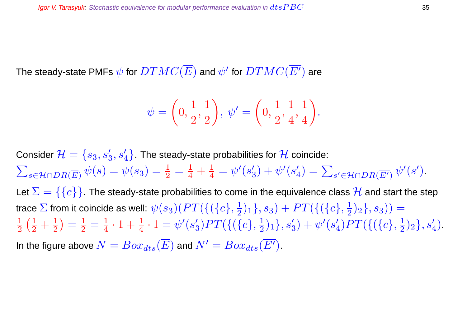The steady-state PMFs  $\psi$  for  $DTMC(\overline{E})$  and  $\psi'$  for  $DTMC(\overline{E'})$  are

$$
\psi = \left(0, \frac{1}{2}, \frac{1}{2}\right), \psi' = \left(0, \frac{1}{2}, \frac{1}{4}, \frac{1}{4}\right).
$$

Consider  $\mathcal{H}=\{s_3,s_3',s_4'\}.$  The steady-state probabilities for  $\mathcal H$  coincide:  $\sum_{s \in \mathcal{H} \cap DR(\overline{E})} \psi(s) = \psi(s_3) = \frac{1}{2} = \frac{1}{4} + \frac{1}{4}$  $\frac{1}{4}=\psi'(s'_\epsilon$  $\psi^{\prime}(s_{4}^{\prime}% s_{5}^{\prime})=\psi^{\prime}(s_{4}^{\prime\prime}-s_{5}^{\prime\prime}-s_{6}^{\prime\prime}-s_{7}^{\prime\prime})$  $\mathcal{L}'_4$ ) =  $\sum_{s' \in \mathcal{H} \cap DR(\overline{E'})} \psi'(s')$ . Let  $\Sigma = \{\{c\}\}\.$  The steady-state probabilities to come in the equivalence class  $\mathcal H$  and start the step trace  $\Sigma$  from it coincide as well:  $\psi(s_3)(PT(\{(\{c\},\frac{1}{2}$  $\{\frac{1}{2})_1\}, s_3) + PT(\{(\{c\},\frac{1}{2})\}$  $(\frac{1}{2})_2$ ,  $s_3$ )) =  $\overline{1}$ 2  $(\frac{1}{2} + \frac{1}{2})$ 2  $=\frac{1}{2}$  $\frac{1}{2}=\frac{1}{4}$  $\frac{1}{4}\cdot 1+\frac{1}{4}\cdot 1=\psi'(s'_3)$  $\binom{2}{3}PT(\{(\{c\},\frac{1}{2}$  $(\frac{1}{2})_1\},s'_3)+\psi'(s'_4)$  $\binom{7}{4}PT(\{(\{c\},\frac{1}{2}$  $\frac{1}{2}$ )<sub>2</sub>}, s'<sub>4</sub>). In the figure above  $N = Box_{dts}(\overline{E})$  and  $N' = Box_{dts}(\overline{E'}).$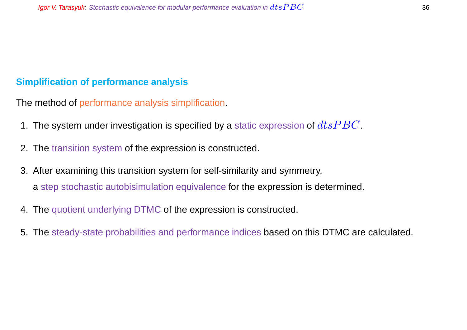#### **Simplification of performance analysis**

The method of performance analysis simplification.

- 1. The system under investigation is specified by a static expression of  $dtsPBC$ .
- 2. The transition system of the expression is constructed.
- 3. After examining this transition system for self-similarity and symmetry, a step stochastic autobisimulation equivalence for the expression is determined.
- 4. The quotient underlying DTMC of the expression is constructed.
- 5. The steady-state probabilities and performance indices based on this DTMC are calculated.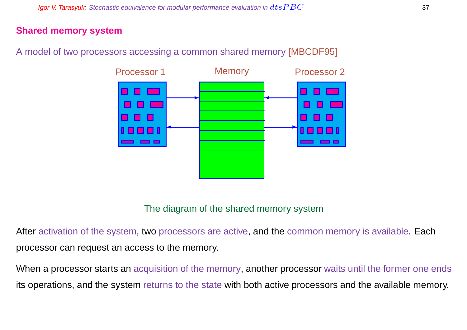#### **Shared memory system**

A model of two processors accessing a common shared memory [MBCDF95]



#### The diagram of the shared memory system

After activation of the system, two processors are active, and the common memory is available. Each processor can request an access to the memory.

When a processor starts an acquisition of the memory, another processor waits until the former one ends its operations, and the system returns to the state with both active processors and the available memory.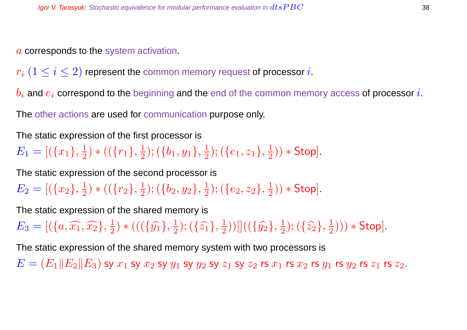a corresponds to the system activation.

 $r_i$   $(1 \leq i \leq 2)$  represent the common memory request of processor i.

 $b_i$  and  $e_i$  correspond to the beginning and the end of the common memory access of processor i.

The other actions are used for communication purpose only.

The static expression of the first processor is

 $E_1 = [(\{x_1\}, \frac{1}{2}]$  $\frac{1}{2}$ ) \* (( $\{r_1\}, \frac{1}{2}$  $(\{b_1,y_1\},\frac{1}{2})$  $(\{e_1,z_1\},\frac{1}{2})$  $(\frac{1}{2})$   $*$  Stop].

The static expression of the second processor is

 $E_2=[(\{x_2\},\frac{1}{2}$  $\frac{1}{2}$ ) \* (( $\{r_2\},\frac{1}{2}$  $(\{b_2,y_2\},\frac{1}{2})$  $(\{e_2,z_2\},\frac{1}{2})$  $(\frac{1}{2})$   $*$  Stop].

The static expression of the shared memory is

 $E_3 = [(\lbrace a, \widehat{x_1}, \widehat{x_2} \rbrace, \frac{1}{2}]$  $(\{\hat{y_1}\},\frac{1}{2})$  \* (( $(\{\hat{y_1}\},\frac{1}{2})$  $(\{\hat{z_1}\},\{\{2\}\})$  $(\frac{1}{2}))[[((\{\hat{y_2}\},\frac{1}{2}% )^{2}](\vec{y_1}+\vec{y_2})^2]$  $(\{\hat{z_2}\},\frac{1}{2})$  $(\frac{1}{2}))) *$  Stop].

The static expression of the shared memory system with two processors is

 $E = (E_1||E_2||E_3)$  sy  $x_1$  sy  $x_2$  sy  $y_1$  sy  $y_2$  sy  $z_1$  sy  $z_2$  rs  $x_1$  rs  $x_2$  rs  $y_1$  rs  $y_2$  rs  $z_1$  rs  $z_2$ .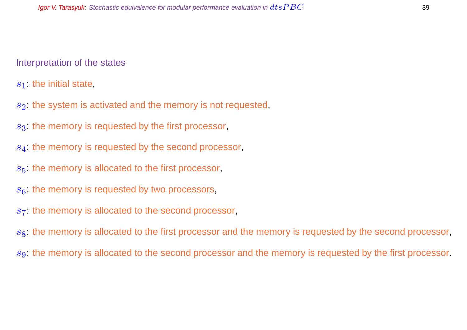#### Interpretation of the states

 $s_1$ : the initial state,

- $s<sub>2</sub>$ : the system is activated and the memory is not requested,
- $s<sub>3</sub>$ : the memory is requested by the first processor,
- s<sub>4</sub>: the memory is requested by the second processor,
- $s<sub>5</sub>$ : the memory is allocated to the first processor,
- $s<sub>6</sub>$ : the memory is requested by two processors,
- $s<sub>7</sub>$ : the memory is allocated to the second processor,

 $s<sub>8</sub>$ : the memory is allocated to the first processor and the memory is requested by the second processor,

s<sub>9</sub>: the memory is allocated to the second processor and the memory is requested by the first processor.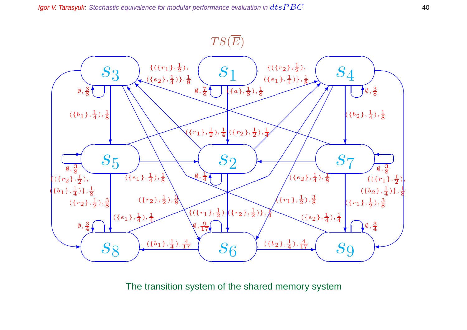

The transition system of the shared memory system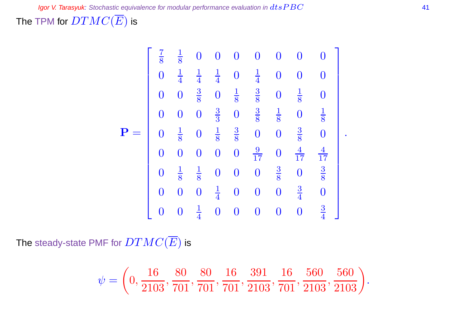The TPM for  $DTMC(\overline{E})$  is

$$
\mathbf{P} = \begin{bmatrix} \frac{7}{8} & \frac{1}{8} & 0 & 0 & 0 & 0 & 0 & 0 & 0 \\ 0 & \frac{1}{4} & \frac{1}{4} & \frac{1}{4} & 0 & \frac{1}{4} & 0 & 0 & 0 \\ 0 & 0 & \frac{3}{8} & 0 & \frac{1}{8} & \frac{3}{8} & 0 & \frac{1}{8} & 0 \\ 0 & 0 & 0 & \frac{3}{3} & 0 & \frac{3}{8} & \frac{1}{8} & 0 & \frac{1}{8} \\ 0 & \frac{1}{8} & 0 & \frac{1}{8} & \frac{3}{8} & 0 & 0 & \frac{3}{8} & 0 \\ 0 & 0 & 0 & 0 & 0 & \frac{9}{17} & 0 & \frac{4}{17} & \frac{4}{17} \\ 0 & \frac{1}{8} & \frac{1}{8} & 0 & 0 & 0 & \frac{3}{8} & 0 & \frac{3}{8} \\ 0 & 0 & 0 & \frac{1}{4} & 0 & 0 & 0 & 0 & \frac{3}{4} & 0 \\ 0 & 0 & \frac{1}{4} & 0 & 0 & 0 & 0 & 0 & \frac{3}{4} \end{bmatrix}.
$$

The steady-state PMF for  $DTMC(\overline{E})$  is

$$
\psi=\left(0,\frac{16}{2103},\frac{80}{701},\frac{80}{701},\frac{16}{701},\frac{391}{2103},\frac{16}{701},\frac{560}{2103},\frac{560}{2103}\right)
$$

.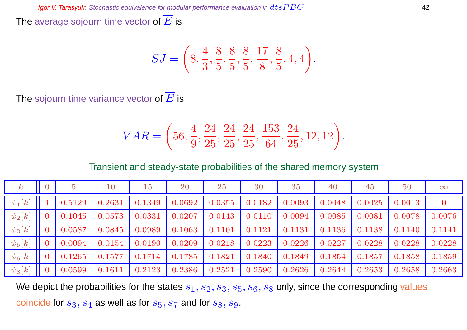The average sojourn time vector of  $\overline{E}$  is

$$
SJ = \left(8, \frac{4}{3}, \frac{8}{5}, \frac{8}{5}, \frac{8}{5}, \frac{17}{8}, \frac{8}{5}, 4, 4\right).
$$

The sojourn time variance vector of  $\overline{E}$  is

$$
VAR = \left(56, \frac{4}{9}, \frac{24}{25}, \frac{24}{25}, \frac{24}{25}, \frac{153}{64}, \frac{24}{25}, 12, 12\right).
$$

Transient and steady-state probabilities of the shared memory system

| $\pmb{k}$   |        | 10     | 15     | 20     | 25     | 30     | 35     | 40     | 45     | 50     | $\infty$       |
|-------------|--------|--------|--------|--------|--------|--------|--------|--------|--------|--------|----------------|
| $\psi_1[k]$ | 0.5129 | 0.2631 | 0.1349 | 0.0692 | 0.0355 | 0.0182 | 0.0093 | 0.0048 | 0.0025 | 0.0013 | $\overline{0}$ |
| $\psi_2[k]$ | 0.1045 | 0.0573 | 0.0331 | 0.0207 | 0.0143 | 0.0110 | 0.0094 | 0.0085 | 0.0081 | 0.0078 | 0.0076         |
| $\psi_3[k]$ | 0.0587 | 0.0845 | 0.0989 | 0.1063 | 0.1101 | 0.1121 | 0.1131 | 0.1136 | 0.1138 | 0.1140 | 0.1141         |
| $\psi_5[k]$ | 0.0094 | 0.0154 | 0.0190 | 0.0209 | 0.0218 | 0.0223 | 0.0226 | 0.0227 | 0.0228 | 0.0228 | 0.0228         |
| $\psi_6[k]$ | 0.1265 | 0.1577 | 0.1714 | 0.1785 | 0.1821 | 0.1840 | 0.1849 | 0.1854 | 0.1857 | 0.1858 | 0.1859         |
| $\psi_8[k]$ | 0.0599 | 0.1611 | 0.2123 | 0.2386 | 0.2521 | 0.2590 | 0.2626 | 0.2644 | 0.2653 | 0.2658 | 0.2663         |

We depict the probabilities for the states  $s_1, s_2, s_3, s_5, s_6, s_8$  only, since the corresponding values coincide for  $s_3$ ,  $s_4$  as well as for  $s_5$ ,  $s_7$  and for  $s_8$ ,  $s_9$ .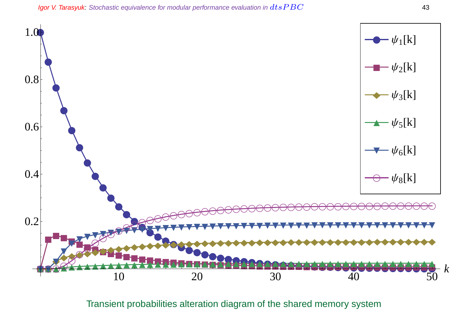

Transient probabilities alteration diagram of the shared memory system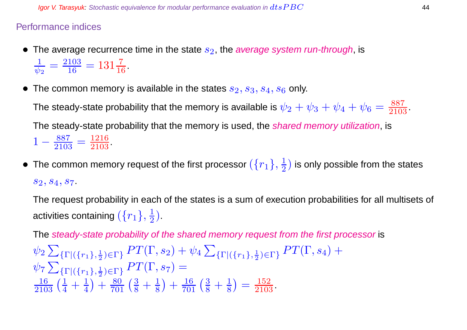#### Performance indices

- The average recurrence time in the state  $s_2$ , the average system run-through, is 1  $\frac{1}{\psi_2} = \frac{2103}{16}$  $\frac{103}{16} = 131\frac{7}{16}$ .
- The common memory is available in the states  $s_2, s_3, s_4, s_6$  only.

The steady-state probability that the memory is available is  $\psi_2+\psi_3+\psi_4+\psi_6=\frac{887}{2103}.$ The steady-state probability that the memory is used, the *shared memory utilization*, is  $1-\frac{887}{2105}$  $\frac{887}{2103} = \frac{1216}{2103}$ 

 $\bullet~$  The common memory request of the first processor  $(\{r_1\},\frac{1}{2})$  $\frac{1}{2}$ ) is only possible from the states  $s_2, s_4, s_7.$ 

The request probability in each of the states is a sum of execution probabilities for all multisets of activities containing  $(\{r_1\},\frac{1}{2})$  $\frac{1}{2}$ ).

The steady-state probability of the shared memory request from the first processor is  $\psi_2$   $\sum$  $\{\Gamma | (\{r_1\},\frac{1}{2})\}$  $\frac{1}{2}$ <sub>2</sub>) =  $\Gamma$ <sub>2</sub> PT( $\Gamma$ , s<sub>2</sub>) +  $\psi_4$   $\sum$  $\{\Gamma | (\{r_1\},\frac{1}{2})\}$  $\frac{1}{2}$ ) $\in$ Γ}  $PT(\Gamma, s_4)$   $+$  $\psi$ 7 $\sum$  $\{\Gamma | ({r_1}, \frac{1}{2})\}$  $\frac{1}{2}$ <sub>)</sub>∈ $\Gamma$ }  $PT(\Gamma,s_7) =$  $\frac{16}{2103} \left( \frac{1}{4} + \frac{1}{4} \right)$ 4  $+\frac{80}{701}(\frac{3}{8}+\frac{1}{8})$ 8  $+\frac{16}{701}(\frac{3}{8}+\frac{1}{8})$ 8  $=$  $\frac{152}{2103}$ .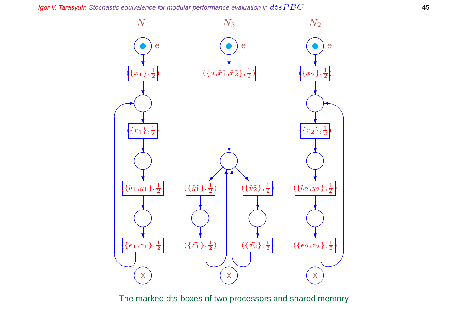Igor V. Tarasyuk: Stochastic equivalence for modular performance evaluation in  $dtsPBC$  45



The marked dts-boxes of two processors and shared memory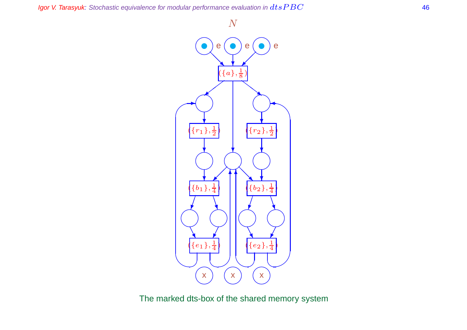#### Igor V. Tarasyuk: Stochastic equivalence for modular performance evaluation in  $dtsPBC$   $\hphantom{ab}$  46



The marked dts-box of the shared memory system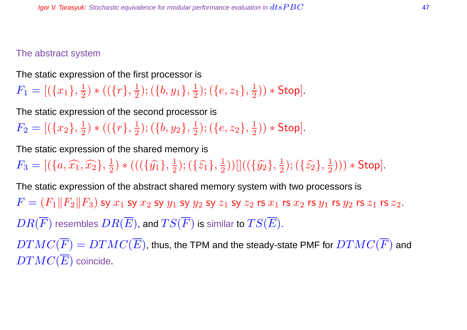#### The abstract system

The static expression of the first processor is

 $F_1 = [(\{x_1\}, \frac{1}{2}]$  $(\overline{\{r\}},\frac{1}{2})$  $(\{b,y_1\},\frac{1}{2})$  $(\{e,z_1\},\frac{1}{2})$  $(\frac{1}{2})$   $*$  Stop].

The static expression of the second processor is

 $F_2= [(\{x_2\}, \frac{1}{2}$  $(\overline{\{r\}},\frac{1}{2})$  $(\{b,y_2\},\frac{1}{2})$  $(\{e,z_2\},\frac{1}{2})$  $(\frac{1}{2})$   $*$  Stop].

The static expression of the shared memory is

 $F_3 = [(\{a, \widehat{x_1}, \widehat{x_2}\}, \frac{1}{2}]$  $(\{\hat{y_1}\},\frac{1}{2})$  \* (( $(\{\hat{y_1}\},\frac{1}{2})$  $(\{\hat{z_1}\},\{\{2\}\})$  $(\frac{1}{2}))[[((\{\hat{y_2}\},\frac{1}{2}% )^{2}](\vec{y_1}+\vec{y_2})^2]$  $(\{\hat{z_2}\},\frac{1}{2})$  $(\frac{1}{2}))) *$  Stop].

The static expression of the abstract shared memory system with two processors is  $F = (F_1||F_2||F_3)$  sy  $x_1$  sy  $x_2$  sy  $y_1$  sy  $y_2$  sy  $z_1$  sy  $z_2$  rs  $x_1$  rs  $x_2$  rs  $y_1$  rs  $y_2$  rs  $z_1$  rs  $z_2$ .  $DR(\overline{F})$  resembles  $DR(\overline{E})$ , and  $TS(\overline{F})$  is similar to  $TS(\overline{E})$ .  $DTMC(\overline{F}) = DTMC(\overline{E})$ , thus, the TPM and the steady-state PMF for  $DTMC(\overline{F})$  and

 $DTMC(\overline{E})$  coincide.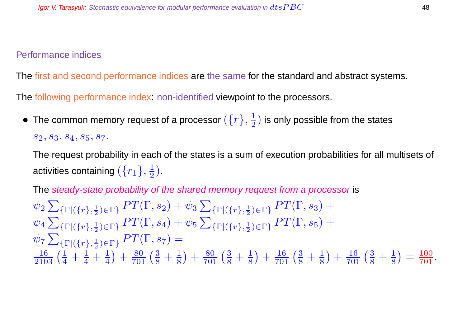#### Performance indices

The first and second performance indices are the same for the standard and abstract systems.

The following performance index: non-identified viewpoint to the processors.

• The common memory request of a processor  $(\{r\},\frac{1}{2})$  $\frac{1}{2}$ ) is only possible from the states  $S_2, S_3, S_4, S_5, S_7.$ 

The request probability in each of the states is a sum of execution probabilities for all multisets of activities containing  $(\{r_1\},\frac{1}{2})$  $\frac{1}{2}$ ).

The steady-state probability of the shared memory request from a processor is

 $\psi_2$   $\sum$  $\{\Gamma | (\{r\},\frac{1}{2})\}$  $\frac{1}{2}$ <sub>2</sub>) =  $\Gamma$ <sub>2</sub> PT( $\Gamma$ , s<sub>2</sub>) +  $\psi_3$   $\sum$  $\{\Gamma | (\{r\},\frac{1}{2})\}$  $\frac{1}{2}$ <sub>)</sub>∈ $\Gamma$ }  $PT(\Gamma,s_3)$  +  $\psi_4$   $\sum$  $\{\Gamma | (\{r\},\frac{1}{2})\}$  $\frac{1}{2}$ <sub>2</sub>)<sub>∈Γ</sub>}  $PT(\Gamma, s_4) + \psi_5 \sum$  $\{\Gamma | (\{r\},\frac{1}{2})\}$  $\frac{1}{2}$ <sub>)</sub>∈ $\Gamma$ }  $PT(\Gamma, s_5)$  +  $\psi$ 7 $\sum$  $\{\Gamma | (\{r\},\frac{1}{2})\}$  $\frac{1}{2}$ <sub>)</sub>∈ $\Gamma$ }  $PT(\Gamma,s_7) =$  $\frac{16}{2103} \left( \frac{1}{4} + \frac{1}{4} + \frac{1}{4} \right)$ 4  $+\frac{80}{701}(\frac{3}{8}+\frac{1}{8})$ 8  $+\frac{80}{701}(\frac{3}{8}+\frac{1}{8})$ 8  $+\frac{16}{701}(\frac{3}{8}+\frac{1}{8})$ 8  $+\frac{16}{701}(\frac{3}{8}+\frac{1}{8})$ 8  $=$   $\frac{100}{701}$ .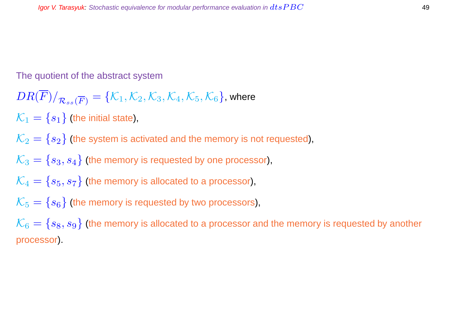The quotient of the abstract system

$$
DR(\overline{F})/_{\mathcal{R}_{ss}(\overline{F})} = \{\mathcal{K}_1, \mathcal{K}_2, \mathcal{K}_3, \mathcal{K}_4, \mathcal{K}_5, \mathcal{K}_6\}, \text{where }
$$

 $\mathcal{K}_1 = \{s_1\}$  (the initial state),

 $\mathcal{K}_2 = \{s_2\}$  (the system is activated and the memory is not requested),

 $\mathcal{K}_3 = \{s_3, s_4\}$  (the memory is requested by one processor),

 $\mathcal{K}_4 = \{s_5, s_7\}$  (the memory is allocated to a processor),

 $\mathcal{K}_5 = \{s_6\}$  (the memory is requested by two processors),

 $\mathcal{K}_6 = \{s_8, s_9\}$  (the memory is allocated to a processor and the memory is requested by another processor).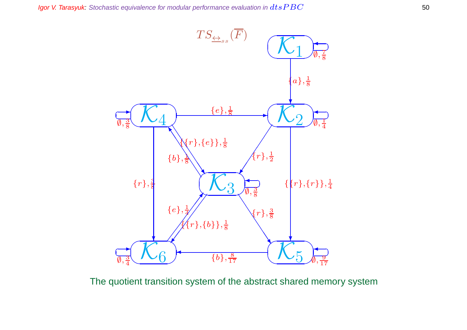

The quotient transition system of the abstract shared memory system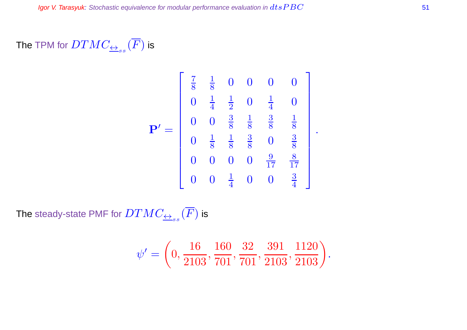### The TPM for  $DTMC_{\overline{\leftrightarrow}_{ss}}(F)$  is

$$
\mathbf{P}' = \begin{bmatrix} \frac{7}{8} & \frac{1}{8} & 0 & 0 & 0 & 0 \\ 0 & \frac{1}{4} & \frac{1}{2} & 0 & \frac{1}{4} & 0 \\ 0 & 0 & \frac{3}{8} & \frac{1}{8} & \frac{3}{8} & \frac{1}{8} \\ 0 & \frac{1}{8} & \frac{1}{8} & \frac{3}{8} & 0 & \frac{3}{8} \\ 0 & 0 & 0 & 0 & \frac{9}{17} & \frac{8}{17} \\ 0 & 0 & \frac{1}{4} & 0 & 0 & \frac{3}{4} \end{bmatrix}.
$$

The steady-state PMF for  $DTMC_{\overline{\leftrightarrow}_{ss}}(F)$  is

$$
\psi' = \left(0, \frac{16}{2103}, \frac{160}{701}, \frac{32}{701}, \frac{391}{2103}, \frac{1120}{2103}\right).
$$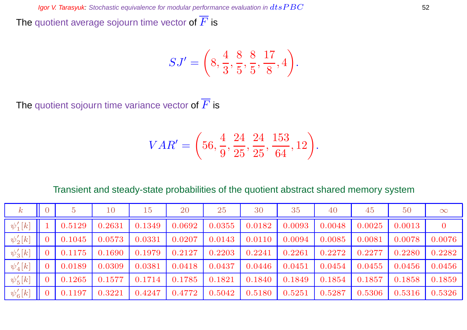The quotient average sojourn time vector of  $\overline{F}$  is

$$
SJ' = \left(8, \frac{4}{3}, \frac{8}{5}, \frac{8}{5}, \frac{17}{8}, 4\right).
$$

The quotient sojourn time variance vector of  $\overline{F}$  is

$$
VAR' = \left(56, \frac{4}{9}, \frac{24}{25}, \frac{24}{25}, \frac{153}{64}, 12\right).
$$

#### Transient and steady-state probabilities of the quotient abstract shared memory system

| $\,k$        | $\overline{5}$ | 10     | 15     | 20     | 25     | 30     | 35     | 40     | 45     | 50     | $\infty$ |
|--------------|----------------|--------|--------|--------|--------|--------|--------|--------|--------|--------|----------|
| $\psi'_1[k]$ | 0.5129         | 0.2631 | 0.1349 | 0.0692 | 0.0355 | 0.0182 | 0.0093 | 0.0048 | 0.0025 | 0.0013 | 0        |
| $\psi'_2[k]$ | 0.1045         | 0.0573 | 0.0331 | 0.0207 | 0.0143 | 0.0110 | 0.0094 | 0.0085 | 0.0081 | 0.0078 | 0.0076   |
| $\psi'_3[k]$ | 0.1175         | 0.1690 | 0.1979 | 0.2127 | 0.2203 | 0.2241 | 0.2261 | 0.2272 | 0.2277 | 0.2280 | 0.2282   |
| $\psi'_4[k]$ | 0.0189         | 0.0309 | 0.0381 | 0.0418 | 0.0437 | 0.0446 | 0.0451 | 0.0454 | 0.0455 | 0.0456 | 0.0456   |
| $\psi_5'[k]$ | 0.1265         | 0.1577 | 0.1714 | 0.1785 | 0.1821 | 0.1840 | 0.1849 | 0.1854 | 0.1857 | 0.1858 | 0.1859   |
| $\psi'_6[k]$ | 0.1197         | 0.3221 | 0.4247 | 0.4772 | 0.5042 | 0.5180 | 0.5251 | 0.5287 | 0.5306 | 0.5316 | 0.5326   |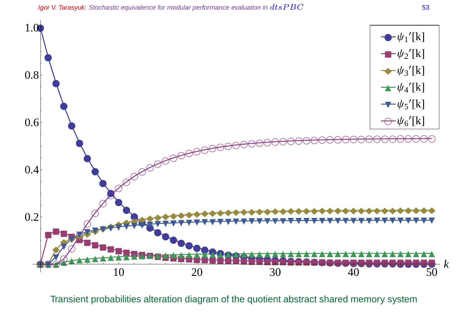Igor V. Tarasyuk: Stochastic equivalence for modular performance evaluation in  $dtsPBC$  53



Transient probabilities alteration diagram of the quotient abstract shared memory system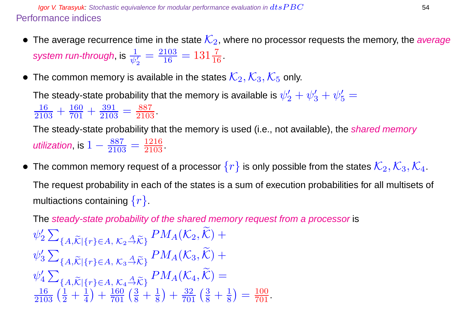**Igor V. Tarasyuk:** Stochastic equivalence for modular performance evaluation in  $dtsPBC$  54 Performance indices

- The average recurrence time in the state  $\mathcal{K}_2$ , where no processor requests the memory, the average system run-through, is  $\frac{1}{\psi_2'}$  $=\frac{2103}{16}$  $\frac{103}{16} = 131\frac{7}{16}.$
- The common memory is available in the states  $\mathcal{K}_2, \mathcal{K}_3, \mathcal{K}_5$  only.

The steady-state probability that the memory is available is  $\psi'_2+\psi'_3+\psi'_5=$  $\frac{16}{2103} + \frac{160}{701} + \frac{391}{2103}$  $\frac{391}{2103} = \frac{887}{2103}$ .

The steady-state probability that the memory is used (i.e., not available), the *shared memory* utilization, is  $1-\frac{887}{2105}$  $\frac{887}{2103} = \frac{1216}{2103}$ .

• The common memory request of a processor  $\{r\}$  is only possible from the states  $\mathcal{K}_2, \mathcal{K}_3, \mathcal{K}_4$ . The request probability in each of the states is a sum of execution probabilities for all multisets of multiactions containing  $\{r\}$ .

The steady-state probability of the shared memory request from a processor is

$$
\psi_2' \sum_{\{A,\widetilde{\mathcal{K}}|\{r\} \in A, \ K_2 \stackrel{A}{\to} \widetilde{\mathcal{K}}\}} P M_A(\mathcal{K}_2, \widetilde{\mathcal{K}}) + \n\psi_3' \sum_{\{A,\widetilde{\mathcal{K}}|\{r\} \in A, \ K_3 \stackrel{A}{\to} \widetilde{\mathcal{K}}\}} P M_A(\mathcal{K}_3, \widetilde{\mathcal{K}}) + \n\psi_4' \sum_{\{A,\widetilde{\mathcal{K}}|\{r\} \in A, \ K_4 \stackrel{A}{\to} \widetilde{\mathcal{K}}\}} P M_A(\mathcal{K}_4, \widetilde{\mathcal{K}}) = \n\frac{16}{2103} \left( \frac{1}{2} + \frac{1}{4} \right) + \frac{160}{701} \left( \frac{3}{8} + \frac{1}{8} \right) + \frac{32}{701} \left( \frac{3}{8} + \frac{1}{8} \right) = \frac{100}{701}.
$$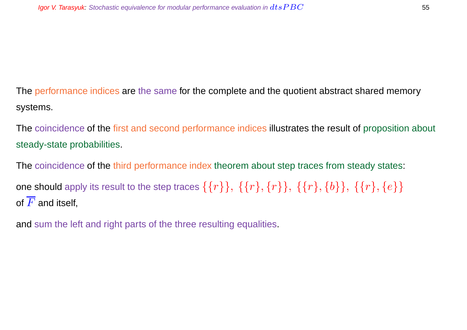The performance indices are the same for the complete and the quotient abstract shared memory systems.

The coincidence of the first and second performance indices illustrates the result of proposition about steady-state probabilities.

The coincidence of the third performance index theorem about step traces from steady states: one should apply its result to the step traces  $\{\{r\}\}, \{\{r\}, \{r\}\}, \{\{r\}, \{b\}\}, \{\{r\}, \{e\}\}\$ of  $\overline{F}$  and itself,

and sum the left and right parts of the three resulting equalities.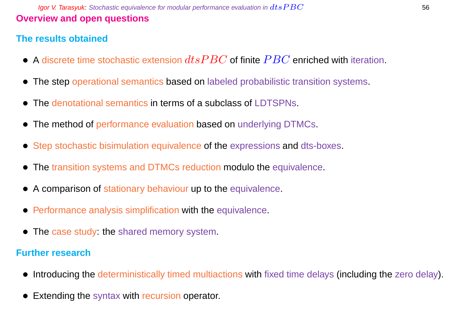**Igor V. Tarasyuk:** Stochastic equivalence for modular performance evaluation in  $dtsPBC$  56 **Overview and open questions**

#### **The results obtained**

- A discrete time stochastic extension  $dtsPBC$  of finite  $PBC$  enriched with iteration.
- The step operational semantics based on labeled probabilistic transition systems.
- The denotational semantics in terms of a subclass of LDTSPNs.
- The method of performance evaluation based on underlying DTMCs.
- Step stochastic bisimulation equivalence of the expressions and dts-boxes.
- The transition systems and DTMCs reduction modulo the equivalence.
- A comparison of stationary behaviour up to the equivalence.
- Performance analysis simplification with the equivalence.
- The case study: the shared memory system.

#### **Further research**

- Introducing the deterministically timed multiactions with fixed time delays (including the zero delay).
- **Extending the syntax with recursion operator.**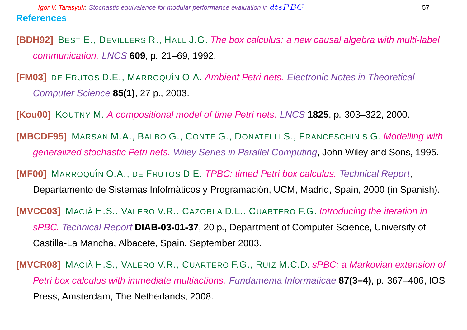**[BDH92]** BEST E., DEVILLERS R., HALL J.G. The box calculus: a new causal algebra with multi-label communication. LNCS **609**, p. 21–69, 1992.

**[FM03]** DE FRUTOS D.E., MARROQUÍN O.A. Ambient Petri nets. Electronic Notes in Theoretical Computer Science **85(1)**, 27 p., 2003.

**[Kou00]** KOUTNY M. A compositional model of time Petri nets. LNCS **1825**, p. 303–322, 2000.

**[MBCDF95]** MARSAN M.A., BALBO G., CONTE G., DONATELLI S., FRANCESCHINIS G. Modelling with generalized stochastic Petri nets. Wiley Series in Parallel Computing, John Wiley and Sons, 1995.

**[MF00]** MARROQUÍN O.A., DE FRUTOS D.E. *TPBC: timed Petri box calculus. Technical Report,* 

Departamento de Sistemas Infofmáticos y Programación, UCM, Madrid, Spain, 2000 (in Spanish).

**[MVCC03]** MACIÀ H.S., VALERO V.R., CAZORLA D.L., CUARTERO F.G. Introducing the iteration in sPBC. Technical Report **DIAB-03-01-37**, 20 p., Department of Computer Science, University of Castilla-La Mancha, Albacete, Spain, September 2003.

**[MVCR08]** MACIÀ H.S., VALERO V.R., CUARTERO F.G., RUIZ M.C.D. sPBC: a Markovian extension of Petri box calculus with immediate multiactions. Fundamenta Informaticae **87(3–4)**, p. 367–406, IOS Press, Amsterdam, The Netherlands, 2008.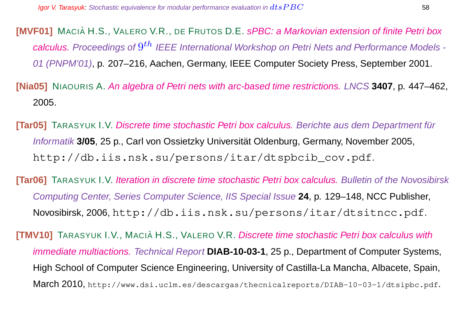**[MVF01]** MACIÀ H.S., VALERO V.R., DE FRUTOS D.E. sPBC: a Markovian extension of finite Petri box calculus. Proceedings of  $9^{th}$  IEEE International Workshop on Petri Nets and Performance Models -01 (PNPM'01), p. 207–216, Aachen, Germany, IEEE Computer Society Press, September 2001.

**[Nia05]** NIAOURIS A. An algebra of Petri nets with arc-based time restrictions. LNCS **3407**, p. 447–462, 2005.

**[Tar05]** TARASYUK I.V. Discrete time stochastic Petri box calculus. Berichte aus dem Department für Informatik **3/05**, 25 p., Carl von Ossietzky Universität Oldenburg, Germany, November 2005, http://db.iis.nsk.su/persons/itar/dtspbcib\_cov.pdf.

**[Tar06]** TARASYUK I.V. Iteration in discrete time stochastic Petri box calculus. Bulletin of the Novosibirsk Computing Center, Series Computer Science, IIS Special Issue **24**, p. 129–148, NCC Publisher, Novosibirsk, 2006, http://db.iis.nsk.su/persons/itar/dtsitncc.pdf.

**[TMV10]** TARASYUK I.V., MACIA H.S., VALERO V.R. Discrete time stochastic Petri box calculus with immediate multiactions. Technical Report **DIAB-10-03-1**, 25 p., Department of Computer Systems, High School of Computer Science Engineering, University of Castilla-La Mancha, Albacete, Spain, March 2010, http://www.dsi.uclm.es/descargas/thecnicalreports/DIAB-10-03-1/dtsipbc.pdf.